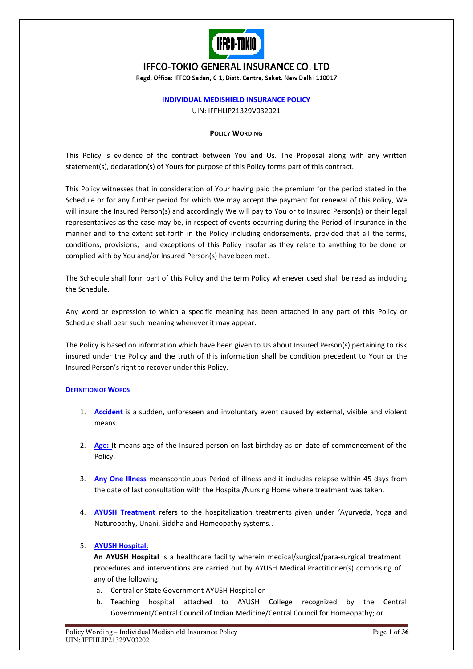

# **IFFCO-TOKIO GENERAL INSURANCE CO. LTD**

Regd. Office: IFFCO Sadan, C-1, Distt. Centre, Saket, New Delhi-110017

# **INDIVIDUAL MEDISHIELD INSURANCE POLICY**

UIN: IFFHLIP21329V032021

#### **POLICY WORDING**

This Policy is evidence of the contract between You and Us. The Proposal along with any written statement(s), declaration(s) of Yours for purpose of this Policy forms part of this contract.

This Policy witnesses that in consideration of Your having paid the premium for the period stated in the Schedule or for any further period for which We may accept the payment for renewal of this Policy, We will insure the Insured Person(s) and accordingly We will pay to You or to Insured Person(s) or their legal representatives as the case may be, in respect of events occurring during the Period of Insurance in the manner and to the extent set-forth in the Policy including endorsements, provided that all the terms, conditions, provisions, and exceptions of this Policy insofar as they relate to anything to be done or complied with by You and/or Insured Person(s) have been met.

The Schedule shall form part of this Policy and the term Policy whenever used shall be read as including the Schedule.

Any word or expression to which a specific meaning has been attached in any part of this Policy or Schedule shall bear such meaning whenever it may appear.

The Policy is based on information which have been given to Us about Insured Person(s) pertaining to risk insured under the Policy and the truth of this information shall be condition precedent to Your or the Insured Person's right to recover under this Policy.

# **DEFINITION OF WORDS**

- 1. **Accident** is a sudden, unforeseen and involuntary event caused by external, visible and violent means.
- 2. **Age:** It means age of the Insured person on last birthday as on date of commencement of the Policy.
- 3. **Any One Illness** meanscontinuous Period of illness and it includes relapse within 45 days from the date of last consultation with the Hospital/Nursing Home where treatment was taken.
- 4. **AYUSH Treatment** refers to the hospitalization treatments given under 'Ayurveda, Yoga and Naturopathy, Unani, Siddha and Homeopathy systems..

# 5. **AYUSH Hospital:**

**An AYUSH Hospital** is a healthcare facility wherein medical/surgical/para-surgical treatment procedures and interventions are carried out by AYUSH Medical Practitioner(s) comprising of any of the following:

- a. Central or State Government AYUSH Hospital or
- b. Teaching hospital attached to AYUSH College recognized by the Central Government/Central Council of Indian Medicine/Central Council for Homeopathy; or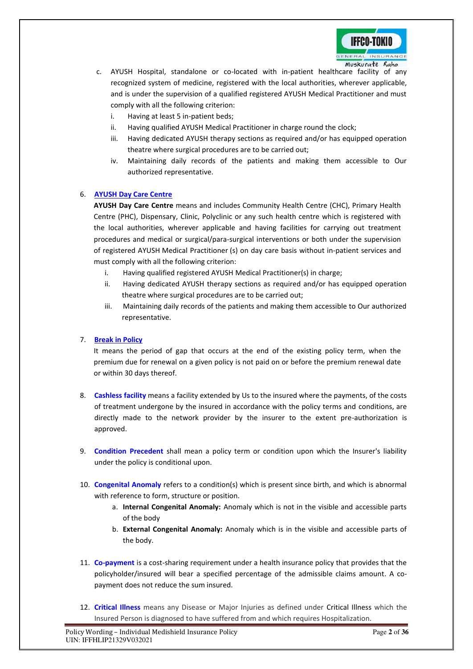

- c. AYUSH Hospital, standalone or co-located with in-patient healthcare facility of any recognized system of medicine, registered with the local authorities, wherever applicable, and is under the supervision of a qualified registered AYUSH Medical Practitioner and must comply with all the following criterion:
	- i. Having at least 5 in-patient beds;
	- ii. Having qualified AYUSH Medical Practitioner in charge round the clock;
	- iii. Having dedicated AYUSH therapy sections as required and/or has equipped operation theatre where surgical procedures are to be carried out;
	- iv. Maintaining daily records of the patients and making them accessible to Our authorized representative.

# 6. **AYUSH Day Care Centre**

**AYUSH Day Care Centre** means and includes Community Health Centre (CHC), Primary Health Centre (PHC), Dispensary, Clinic, Polyclinic or any such health centre which is registered with the local authorities, wherever applicable and having facilities for carrying out treatment procedures and medical or surgical/para-surgical interventions or both under the supervision of registered AYUSH Medical Practitioner (s) on day care basis without in-patient services and must comply with all the following criterion:

- i. Having qualified registered AYUSH Medical Practitioner(s) in charge;
- ii. Having dedicated AYUSH therapy sections as required and/or has equipped operation theatre where surgical procedures are to be carried out;
- iii. Maintaining daily records of the patients and making them accessible to Our authorized representative.

# 7. **Break in Policy**

It means the period of gap that occurs at the end of the existing policy term, when the premium due for renewal on a given policy is not paid on or before the premium renewal date or within 30 days thereof.

- 8. **Cashless facility** means a facility extended by Us to the insured where the payments, of the costs of treatment undergone by the insured in accordance with the policy terms and conditions, are directly made to the network provider by the insurer to the extent pre-authorization is approved.
- 9. **Condition Precedent** shall mean a policy term or condition upon which the Insurer's liability under the policy is conditional upon.
- 10. **Congenital Anomaly** refers to a condition(s) which is present since birth, and which is abnormal with reference to form, structure or position.
	- a. **Internal Congenital Anomaly:** Anomaly which is not in the visible and accessible parts of the body
	- b. **External Congenital Anomaly:** Anomaly which is in the visible and accessible parts of the body.
- 11. **Co-payment** is a cost-sharing requirement under a health insurance policy that provides that the policyholder/insured will bear a specified percentage of the admissible claims amount. A copayment does not reduce the sum insured.
- 12. **Critical Illness** means any Disease or Major Injuries as defined under Critical Illness which the Insured Person is diagnosed to have suffered from and which requires Hospitalization.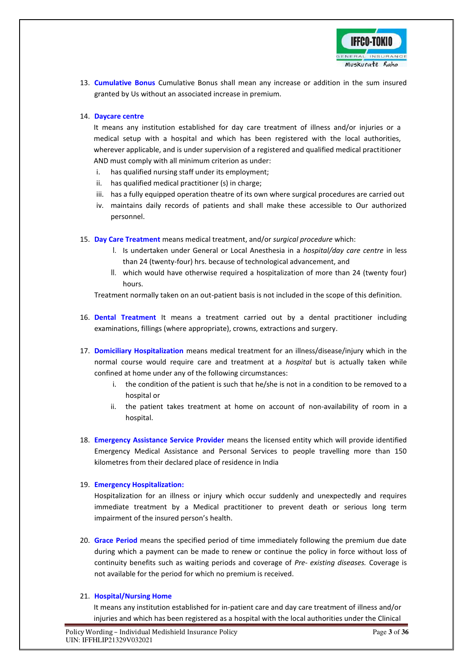

13. **Cumulative Bonus** Cumulative Bonus shall mean any increase or addition in the sum insured granted by Us without an associated increase in premium.

# 14. **Daycare centre**

It means any institution established for day care treatment of illness and/or injuries or a medical setup with a hospital and which has been registered with the local authorities, wherever applicable, and is under supervision of a registered and qualified medical practitioner AND must comply with all minimum criterion as under:

- i. has qualified nursing staff under its employment;
- ii. has qualified medical practitioner (s) in charge;
- iii. has a fully equipped operation theatre of its own where surgical procedures are carried out
- iv. maintains daily records of patients and shall make these accessible to Our authorized personnel.
- 15. **Day Care Treatment** means medical treatment, and/or *surgical procedure* which:
	- I. Is undertaken under General or Local Anesthesia in a *hospital/day care centre* in less than 24 (twenty-four) hrs. because of technological advancement, and
	- II. which would have otherwise required a hospitalization of more than 24 (twenty four) hours.

Treatment normally taken on an out-patient basis is not included in the scope of this definition.

- 16. **Dental Treatment** It means a treatment carried out by a dental practitioner including examinations, fillings (where appropriate), crowns, extractions and surgery.
- 17. **Domiciliary Hospitalization** means medical treatment for an illness/disease/injury which in the normal course would require care and treatment at a *hospital* but is actually taken while confined at home under any of the following circumstances:
	- i. the condition of the patient is such that he/she is not in a condition to be removed to a hospital or
	- ii. the patient takes treatment at home on account of non-availability of room in a hospital.
- 18. **Emergency Assistance Service Provider** means the licensed entity which will provide identified Emergency Medical Assistance and Personal Services to people travelling more than 150 kilometres from their declared place of residence in India

# 19. **Emergency Hospitalization:**

Hospitalization for an illness or injury which occur suddenly and unexpectedly and requires immediate treatment by a Medical practitioner to prevent death or serious long term impairment of the insured person's health.

20. **Grace Period** means the specified period of time immediately following the premium due date during which a payment can be made to renew or continue the policy in force without loss of continuity benefits such as waiting periods and coverage of *Pre- existing diseases.* Coverage is not available for the period for which no premium is received.

# 21. **Hospital/Nursing Home**

It means any institution established for in-patient care and day care treatment of illness and/or injuries and which has been registered as a hospital with the local authorities under the Clinical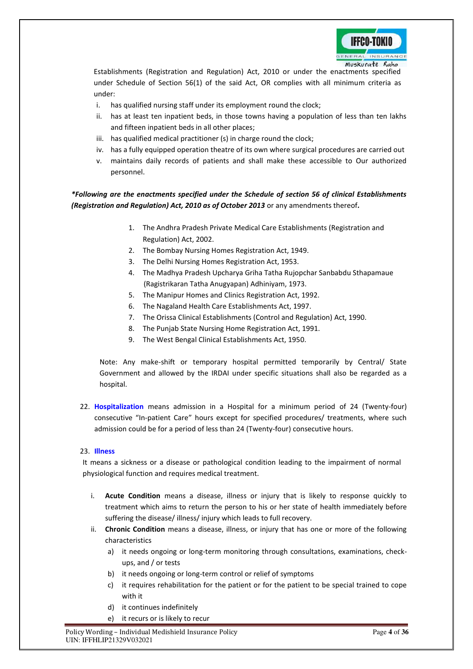

Establishments (Registration and Regulation) Act, 2010 or under the enactments specified under Schedule of Section 56(1) of the said Act, OR complies with all minimum criteria as under:

- i. has qualified nursing staff under its employment round the clock;
- ii. has at least ten inpatient beds, in those towns having a population of less than ten lakhs and fifteen inpatient beds in all other places;
- iii. has qualified medical practitioner (s) in charge round the clock;
- iv. has a fully equipped operation theatre of its own where surgical procedures are carried out
- v. maintains daily records of patients and shall make these accessible to Our authorized personnel.

*\*Following are the enactments specified under the Schedule of section 56 of clinical Establishments (Registration and Regulation) Act, 2010 as of October 2013* or any amendments thereof*.* 

- 1. The Andhra Pradesh Private Medical Care Establishments (Registration and Regulation) Act, 2002.
- 2. The Bombay Nursing Homes Registration Act, 1949.
- 3. The Delhi Nursing Homes Registration Act, 1953.
- 4. The Madhya Pradesh Upcharya Griha Tatha Rujopchar Sanbabdu Sthapamaue (Ragistrikaran Tatha Anugyapan) Adhiniyam, 1973.
- 5. The Manipur Homes and Clinics Registration Act, 1992.
- 6. The Nagaland Health Care Establishments Act, 1997.
- 7. The Orissa Clinical Establishments (Control and Regulation) Act, 1990.
- 8. The Punjab State Nursing Home Registration Act, 1991.
- 9. The West Bengal Clinical Establishments Act, 1950.

Note: Any make-shift or temporary hospital permitted temporarily by Central/ State Government and allowed by the IRDAI under specific situations shall also be regarded as a hospital.

22. **Hospitalization** means admission in a Hospital for a minimum period of 24 (Twenty-four) consecutive "In-patient Care" hours except for specified procedures/ treatments, where such admission could be for a period of less than 24 (Twenty-four) consecutive hours.

# 23. **Illness**

It means a sickness or a disease or pathological condition leading to the impairment of normal physiological function and requires medical treatment.

- i. **Acute Condition** means a disease, illness or injury that is likely to response quickly to treatment which aims to return the person to his or her state of health immediately before suffering the disease/ illness/ injury which leads to full recovery.
- ii. **Chronic Condition** means a disease, illness, or injury that has one or more of the following characteristics
	- a) it needs ongoing or long-term monitoring through consultations, examinations, checkups, and / or tests
	- b) it needs ongoing or long-term control or relief of symptoms
	- c) it requires rehabilitation for the patient or for the patient to be special trained to cope with it
	- d) it continues indefinitely
	- e) it recurs or is likely to recur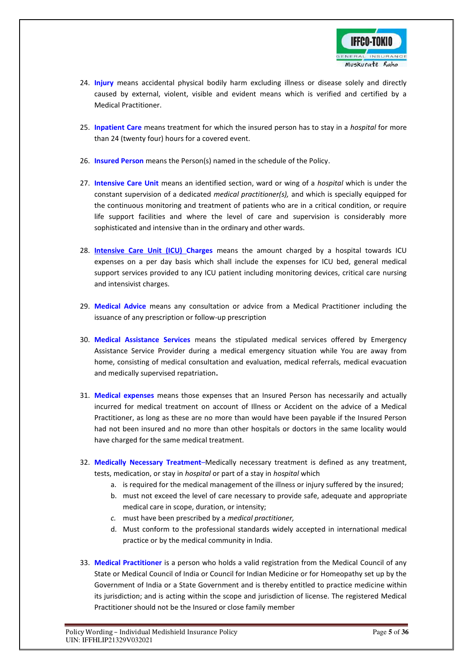

- 24. **Injury** means accidental physical bodily harm excluding illness or disease solely and directly caused by external, violent, visible and evident means which is verified and certified by a Medical Practitioner.
- 25. **Inpatient Care** means treatment for which the insured person has to stay in a *hospital* for more than 24 (twenty four) hours for a covered event.
- 26. **Insured Person** means the Person(s) named in the schedule of the Policy.
- 27. **Intensive Care Unit** means an identified section, ward or wing of a *hospital* which is under the constant supervision of a dedicated *medical practitioner(s),* and which is specially equipped for the continuous monitoring and treatment of patients who are in a critical condition, or require life support facilities and where the level of care and supervision is considerably more sophisticated and intensive than in the ordinary and other wards.
- 28. **Intensive Care Unit (ICU) Charges** means the amount charged by a hospital towards ICU expenses on a per day basis which shall include the expenses for ICU bed, general medical support services provided to any ICU patient including monitoring devices, critical care nursing and intensivist charges.
- 29. **Medical Advice** means any consultation or advice from a Medical Practitioner including the issuance of any prescription or follow-up prescription
- 30. **Medical Assistance Services** means the stipulated medical services offered by Emergency Assistance Service Provider during a medical emergency situation while You are away from home, consisting of medical consultation and evaluation, medical referrals, medical evacuation and medically supervised repatriation**.**
- 31. **Medical expenses** means those expenses that an Insured Person has necessarily and actually incurred for medical treatment on account of Illness or Accident on the advice of a Medical Practitioner, as long as these are no more than would have been payable if the Insured Person had not been insured and no more than other hospitals or doctors in the same locality would have charged for the same medical treatment.
- 32. **Medically Necessary Treatment**–Medically necessary treatment is defined as any treatment, tests, medication, or stay in *hospital* or part of a stay in *hospital* which
	- a. is required for the medical management of the illness or injury suffered by the insured;
	- b. must not exceed the level of care necessary to provide safe, adequate and appropriate medical care in scope, duration, or intensity;
	- *c.* must have been prescribed by a *medical practitioner,*
	- d. Must conform to the professional standards widely accepted in international medical practice or by the medical community in India.
- 33. **Medical Practitioner** is a person who holds a valid registration from the Medical Council of any State or Medical Council of India or Council for Indian Medicine or for Homeopathy set up by the Government of India or a State Government and is thereby entitled to practice medicine within its jurisdiction; and is acting within the scope and jurisdiction of license. The registered Medical Practitioner should not be the Insured or close family member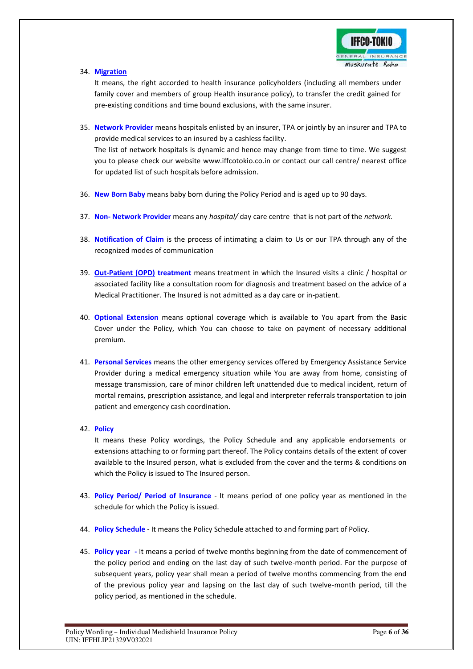

34. **Migration**

It means, the right accorded to health insurance policyholders (including all members under family cover and members of group Health insurance policy), to transfer the credit gained for pre-existing conditions and time bound exclusions, with the same insurer.

- 35. **Network Provider** means hospitals enlisted by an insurer, TPA or jointly by an insurer and TPA to provide medical services to an insured by a cashless facility. The list of network hospitals is dynamic and hence may change from time to time. We suggest you to please check our website www.iffcotokio.co.in or contact our call centre/ nearest office for updated list of such hospitals before admission.
- 36. **New Born Baby** means baby born during the Policy Period and is aged up to 90 days.
- 37. **Non- Network Provider** means any *hospital/* day care centre that is not part of the *network.*
- 38. **Notification of Claim** is the process of intimating a claim to Us or our TPA through any of the recognized modes of communication
- 39. **Out-Patient (OPD) treatment** means treatment in which the Insured visits a clinic / hospital or associated facility like a consultation room for diagnosis and treatment based on the advice of a Medical Practitioner. The Insured is not admitted as a day care or in-patient.
- 40. **Optional Extension** means optional coverage which is available to You apart from the Basic Cover under the Policy, which You can choose to take on payment of necessary additional premium.
- 41. **Personal Services** means the other emergency services offered by Emergency Assistance Service Provider during a medical emergency situation while You are away from home, consisting of message transmission, care of minor children left unattended due to medical incident, return of mortal remains, prescription assistance, and legal and interpreter referrals transportation to join patient and emergency cash coordination.
- 42. **Policy**

It means these Policy wordings, the Policy Schedule and any applicable endorsements or extensions attaching to or forming part thereof. The Policy contains details of the extent of cover available to the Insured person, what is excluded from the cover and the terms & conditions on which the Policy is issued to The Insured person.

- 43. **Policy Period/ Period of Insurance** It means period of one policy year as mentioned in the schedule for which the Policy is issued.
- 44. **Policy Schedule** It means the Policy Schedule attached to and forming part of Policy.
- 45. **Policy year** It means a period of twelve months beginning from the date of commencement of the policy period and ending on the last day of such twelve-month period. For the purpose of subsequent years, policy year shall mean a period of twelve months commencing from the end of the previous policy year and lapsing on the last day of such twelve-month period, till the policy period, as mentioned in the schedule.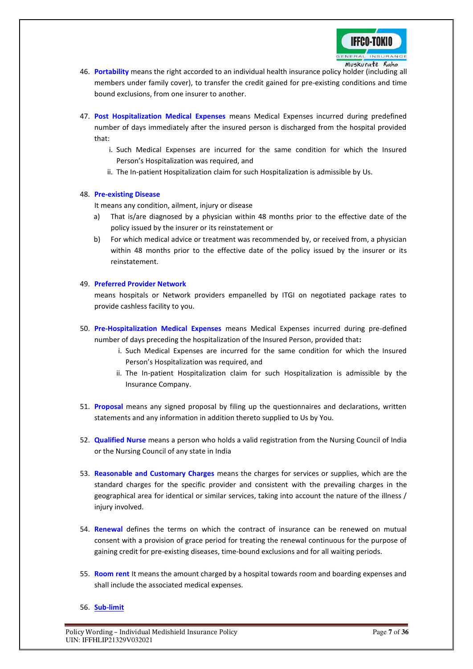

- 46. **Portability** means the right accorded to an individual health insurance policy holder (including all members under family cover), to transfer the credit gained for pre-existing conditions and time bound exclusions, from one insurer to another.
- 47. **Post Hospitalization Medical Expenses** means Medical Expenses incurred during predefined number of days immediately after the insured person is discharged from the hospital provided that:
	- i. Such Medical Expenses are incurred for the same condition for which the Insured Person's Hospitalization was required, and
	- ii. The In-patient Hospitalization claim for such Hospitalization is admissible by Us.

# 48. **Pre-existing Disease**

It means any condition, ailment, injury or disease

- a) That is/are diagnosed by a physician within 48 months prior to the effective date of the policy issued by the insurer or its reinstatement or
- b) For which medical advice or treatment was recommended by, or received from, a physician within 48 months prior to the effective date of the policy issued by the insurer or its reinstatement.

# 49. **Preferred Provider Network**

means hospitals or Network providers empanelled by ITGI on negotiated package rates to provide cashless facility to you.

- 50. **Pre-Hospitalization Medical Expenses** means Medical Expenses incurred during pre-defined number of days preceding the hospitalization of the Insured Person, provided that**:** 
	- i. Such Medical Expenses are incurred for the same condition for which the Insured Person's Hospitalization was required, and
	- ii. The In-patient Hospitalization claim for such Hospitalization is admissible by the Insurance Company.
- 51. **Proposal** means any signed proposal by filing up the questionnaires and declarations, written statements and any information in addition thereto supplied to Us by You.
- 52. **Qualified Nurse** means a person who holds a valid registration from the Nursing Council of India or the Nursing Council of any state in India
- 53. **Reasonable and Customary Charges** means the charges for services or supplies, which are the standard charges for the specific provider and consistent with the prevailing charges in the geographical area for identical or similar services, taking into account the nature of the illness / injury involved.
- 54. **Renewal** defines the terms on which the contract of insurance can be renewed on mutual consent with a provision of grace period for treating the renewal continuous for the purpose of gaining credit for pre-existing diseases, time-bound exclusions and for all waiting periods.
- 55. **Room rent** It means the amount charged by a hospital towards room and boarding expenses and shall include the associated medical expenses.

# 56. **Sub-limit**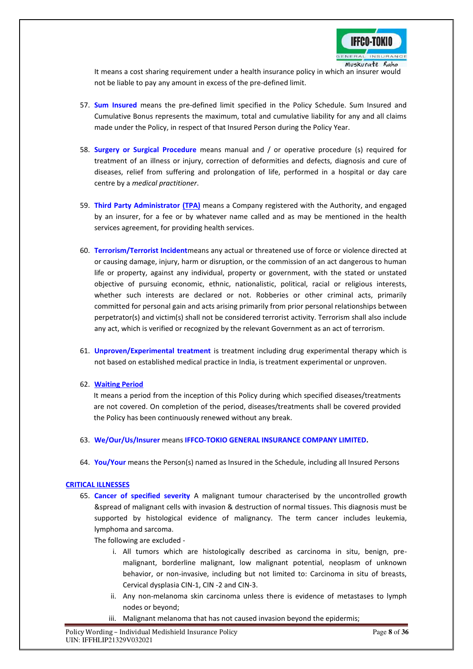

 It means a cost sharing requirement under a health insurance policy in which an insurer would not be liable to pay any amount in excess of the pre-defined limit.

- 57. **Sum Insured** means the pre-defined limit specified in the Policy Schedule. Sum Insured and Cumulative Bonus represents the maximum, total and cumulative liability for any and all claims made under the Policy, in respect of that Insured Person during the Policy Year.
- 58. **Surgery or Surgical Procedure** means manual and / or operative procedure (s) required for treatment of an illness or injury, correction of deformities and defects, diagnosis and cure of diseases, relief from suffering and prolongation of life, performed in a hospital or day care centre by a *medical practitioner*.
- 59. **Third Party Administrator (TPA)** means a Company registered with the Authority, and engaged by an insurer, for a fee or by whatever name called and as may be mentioned in the health services agreement, for providing health services.
- 60. **Terrorism/Terrorist Incident**means any actual or threatened use of force or violence directed at or causing damage, injury, harm or disruption, or the commission of an act dangerous to human life or property, against any individual, property or government, with the stated or unstated objective of pursuing economic, ethnic, nationalistic, political, racial or religious interests, whether such interests are declared or not. Robberies or other criminal acts, primarily committed for personal gain and acts arising primarily from prior personal relationships between perpetrator(s) and victim(s) shall not be considered terrorist activity. Terrorism shall also include any act, which is verified or recognized by the relevant Government as an act of terrorism.
- 61. **Unproven/Experimental treatment** is treatment including drug experimental therapy which is not based on established medical practice in India, is treatment experimental or unproven.
- 62. **Waiting Period**

It means a period from the inception of this Policy during which specified diseases/treatments are not covered. On completion of the period, diseases/treatments shall be covered provided the Policy has been continuously renewed without any break.

- 63. **We/Our/Us/Insurer** means **IFFCO-TOKIO GENERAL INSURANCE COMPANY LIMITED.**
- 64. **You/Your** means the Person(s) named as Insured in the Schedule, including all Insured Persons

# **CRITICAL ILLNESSES**

65. **Cancer of specified severity** A malignant tumour characterised by the uncontrolled growth &spread of malignant cells with invasion & destruction of normal tissues. This diagnosis must be supported by histological evidence of malignancy. The term cancer includes leukemia, lymphoma and sarcoma.

The following are excluded -

- i. All tumors which are histologically described as carcinoma in situ, benign, premalignant, borderline malignant, low malignant potential, neoplasm of unknown behavior, or non-invasive, including but not limited to: Carcinoma in situ of breasts, Cervical dysplasia CIN-1, CIN -2 and CIN-3.
- ii. Any non-melanoma skin carcinoma unless there is evidence of metastases to lymph nodes or beyond;
- iii. Malignant melanoma that has not caused invasion beyond the epidermis;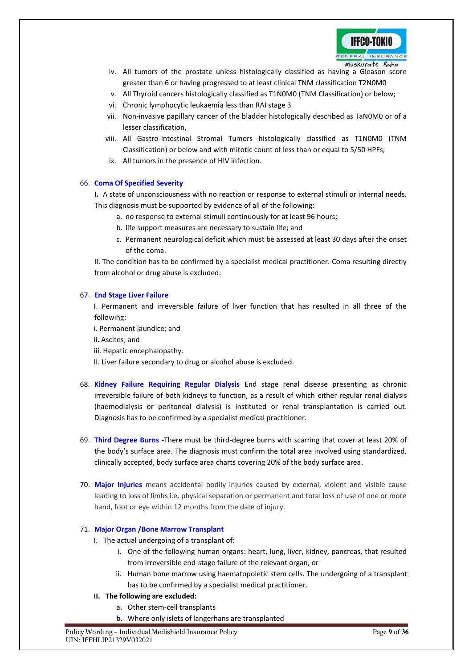

- iv. All tumors of the prostate unless histologically classified as having a Gleason score greater than 6 or having progressed to at least clinical TNM classification T2N0M0
- v. All Thyroid cancers histologically classified as T1N0M0 (TNM Classification) or below;
- vi. Chronic lymphocytic leukaemia less than RAI stage 3
- vii. Non-invasive papillary cancer of the bladder histologically described as TaN0M0 or of a lesser classification,
- viii. All Gastro-Intestinal Stromal Tumors histologically classified as T1N0M0 (TNM Classification) or below and with mitotic count of less than or equal to 5/50 HPFs;
- ix. All tumors in the presence of HIV infection.

# 66. **Coma Of Specified Severity**

**I.** A state of unconsciousness with no reaction or response to external stimuli or internal needs. This diagnosis must be supported by evidence of all of the following:

- a. no response to external stimuli continuously for at least 96 hours;
- b. life support measures are necessary to sustain life; and
- c. Permanent neurological deficit which must be assessed at least 30 days after the onset of the coma.

II. The condition has to be confirmed by a specialist medical practitioner. Coma resulting directly from alcohol or drug abuse is excluded.

# 67. **End Stage Liver Failure**

**I**. Permanent and irreversible failure of liver function that has resulted in all three of the following:

- i. Permanent jaundice; and
- ii. Ascites; and
- iii. Hepatic encephalopathy.

II. Liver failure secondary to drug or alcohol abuse is excluded.

- 68. **Kidney Failure Requiring Regular Dialysis** End stage renal disease presenting as chronic irreversible failure of both kidneys to function, as a result of which either regular renal dialysis (haemodialysis or peritoneal dialysis) is instituted or renal transplantation is carried out. Diagnosis has to be confirmed by a specialist medical practitioner.
- 69. **Third Degree Burns -**There must be third-degree burns with scarring that cover at least 20% of the body's surface area. The diagnosis must confirm the total area involved using standardized, clinically accepted, body surface area charts covering 20% of the body surface area.
- 70. **Major Injuries** means accidental bodily injuries caused by external, violent and visible cause leading to loss of limbs i.e. physical separation or permanent and total loss of use of one or more hand, foot or eye within 12 months from the date of injury.

# 71. **Major Organ /Bone Marrow Transplant**

- I. The actual undergoing of a transplant of:
	- i. One of the following human organs: heart, lung, liver, kidney, pancreas, that resulted from irreversible end-stage failure of the relevant organ, or
	- ii. Human bone marrow using haematopoietic stem cells. The undergoing of a transplant has to be confirmed by a specialist medical practitioner.

# **II. The following are excluded:**

- a. Other stem-cell transplants
- b. Where only islets of langerhans are transplanted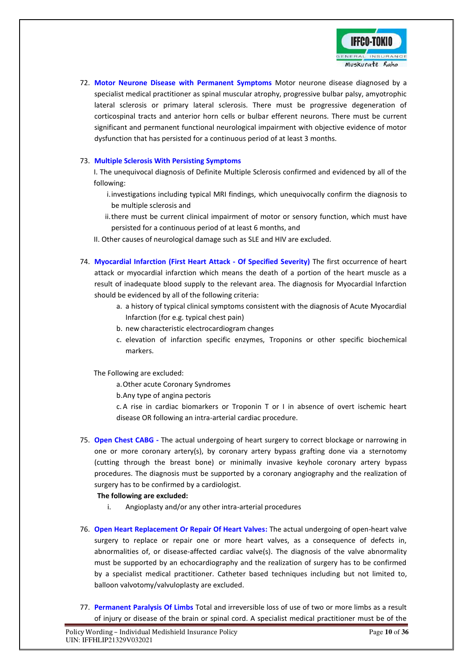

72. **Motor Neurone Disease with Permanent Symptoms** Motor neurone disease diagnosed by a specialist medical practitioner as spinal muscular atrophy, progressive bulbar palsy, amyotrophic lateral sclerosis or primary lateral sclerosis. There must be progressive degeneration of corticospinal tracts and anterior horn cells or bulbar efferent neurons. There must be current significant and permanent functional neurological impairment with objective evidence of motor dysfunction that has persisted for a continuous period of at least 3 months.

# 73. **Multiple Sclerosis With Persisting Symptoms**

I. The unequivocal diagnosis of Definite Multiple Sclerosis confirmed and evidenced by all of the following:

- i.investigations including typical MRI findings, which unequivocally confirm the diagnosis to be multiple sclerosis and
- ii.there must be current clinical impairment of motor or sensory function, which must have persisted for a continuous period of at least 6 months, and
- II. Other causes of neurological damage such as SLE and HIV are excluded.
- 74. **Myocardial Infarction (First Heart Attack Of Specified Severity)** The first occurrence of heart attack or myocardial infarction which means the death of a portion of the heart muscle as a result of inadequate blood supply to the relevant area. The diagnosis for Myocardial Infarction should be evidenced by all of the following criteria:
	- a. a history of typical clinical symptoms consistent with the diagnosis of Acute Myocardial Infarction (for e.g. typical chest pain)
	- b. new characteristic electrocardiogram changes
	- c. elevation of infarction specific enzymes, Troponins or other specific biochemical markers.

The Following are excluded:

a.Other acute Coronary Syndromes

b.Any type of angina pectoris

c. A rise in cardiac biomarkers or Troponin T or I in absence of overt ischemic heart disease OR following an intra-arterial cardiac procedure.

75. **Open Chest CABG -** The actual undergoing of heart surgery to correct blockage or narrowing in one or more coronary artery(s), by coronary artery bypass grafting done via a sternotomy (cutting through the breast bone) or minimally invasive keyhole coronary artery bypass procedures. The diagnosis must be supported by a coronary angiography and the realization of surgery has to be confirmed by a cardiologist.

# **The following are excluded:**

- i. Angioplasty and/or any other intra-arterial procedures
- 76. **Open Heart Replacement Or Repair Of Heart Valves:** The actual undergoing of open-heart valve surgery to replace or repair one or more heart valves, as a consequence of defects in, abnormalities of, or disease-affected cardiac valve(s). The diagnosis of the valve abnormality must be supported by an echocardiography and the realization of surgery has to be confirmed by a specialist medical practitioner. Catheter based techniques including but not limited to, balloon valvotomy/valvuloplasty are excluded.
- 77. **Permanent Paralysis Of Limbs** Total and irreversible loss of use of two or more limbs as a result of injury or disease of the brain or spinal cord. A specialist medical practitioner must be of the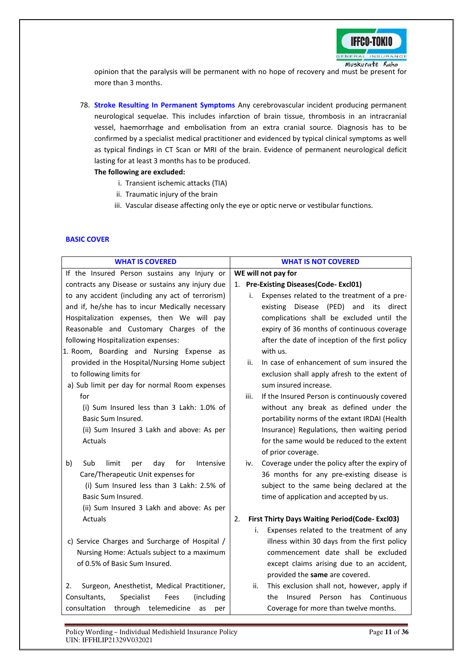

opinion that the paralysis will be permanent with no hope of recovery and must be present for more than 3 months.

78. **Stroke Resulting In Permanent Symptoms** Any cerebrovascular incident producing permanent neurological sequelae. This includes infarction of brain tissue, thrombosis in an intracranial vessel, haemorrhage and embolisation from an extra cranial source. Diagnosis has to be confirmed by a specialist medical practitioner and evidenced by typical clinical symptoms as well as typical findings in CT Scan or MRI of the brain. Evidence of permanent neurological deficit lasting for at least 3 months has to be produced.

# **The following are excluded:**

- i. Transient ischemic attacks (TIA)
- ii. Traumatic injury of the brain
- iii. Vascular disease affecting only the eye or optic nerve or vestibular functions.

# **BASIC COVER**

| <b>WHAT IS COVERED</b>                               | <b>WHAT IS NOT COVERED</b>                                                                   |
|------------------------------------------------------|----------------------------------------------------------------------------------------------|
| If the Insured Person sustains any Injury or         | WE will not pay for                                                                          |
| contracts any Disease or sustains any injury due     | 1. Pre-Existing Diseases(Code-Excl01)                                                        |
| to any accident (including any act of terrorism)     | Expenses related to the treatment of a pre-<br>i.                                            |
| and if, he/she has to incur Medically necessary      | Disease<br>(PED) and<br>existing<br>its<br>direct                                            |
| Hospitalization expenses, then We will pay           | complications shall be excluded until the                                                    |
| Reasonable and Customary Charges of the              | expiry of 36 months of continuous coverage                                                   |
| following Hospitalization expenses:                  | after the date of inception of the first policy                                              |
| 1. Room, Boarding and Nursing Expense as             | with us.                                                                                     |
| provided in the Hospital/Nursing Home subject        | In case of enhancement of sum insured the<br>ii.                                             |
| to following limits for                              | exclusion shall apply afresh to the extent of                                                |
| a) Sub limit per day for normal Room expenses        | sum insured increase.                                                                        |
| for                                                  | If the Insured Person is continuously covered<br>iii.                                        |
| (i) Sum Insured less than 3 Lakh: 1.0% of            | without any break as defined under the                                                       |
| Basic Sum Insured.                                   | portability norms of the extant IRDAI (Health                                                |
| (ii) Sum Insured 3 Lakh and above: As per            | Insurance) Regulations, then waiting period                                                  |
| Actuals                                              | for the same would be reduced to the extent                                                  |
|                                                      | of prior coverage.                                                                           |
| b)<br>Sub<br>limit<br>Intensive<br>day<br>for<br>per | Coverage under the policy after the expiry of<br>iv.                                         |
| Care/Therapeutic Unit expenses for                   | 36 months for any pre-existing disease is                                                    |
| (i) Sum Insured less than 3 Lakh: 2.5% of            | subject to the same being declared at the                                                    |
| Basic Sum Insured.                                   | time of application and accepted by us.                                                      |
| (ii) Sum Insured 3 Lakh and above: As per            |                                                                                              |
| Actuals                                              | <b>First Thirty Days Waiting Period (Code-Excl03)</b><br>2.                                  |
|                                                      | Expenses related to the treatment of any<br>i.                                               |
| c) Service Charges and Surcharge of Hospital /       | illness within 30 days from the first policy                                                 |
| Nursing Home: Actuals subject to a maximum           | commencement date shall be excluded                                                          |
| of 0.5% of Basic Sum Insured.                        | except claims arising due to an accident,                                                    |
|                                                      | provided the same are covered.                                                               |
| Surgeon, Anesthetist, Medical Practitioner,<br>2.    | This exclusion shall not, however, apply if<br>ii.<br>Insured<br>Person<br>has<br>Continuous |
| Consultants,<br>Specialist<br>(including<br>Fees     | the                                                                                          |
| consultation<br>telemedicine<br>through<br>as<br>per | Coverage for more than twelve months.                                                        |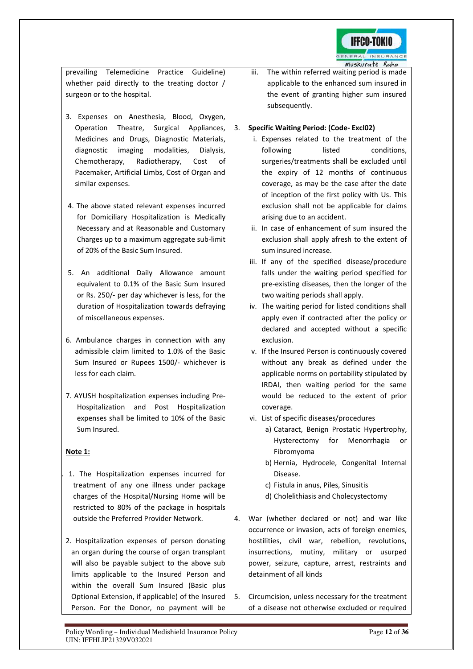

prevailing Telemedicine Practice Guideline) whether paid directly to the treating doctor / surgeon or to the hospital.

- 3. Expenses on Anesthesia, Blood, Oxygen, Operation Theatre, Surgical Appliances, Medicines and Drugs, Diagnostic Materials, diagnostic imaging modalities, Dialysis, Chemotherapy, Radiotherapy, Cost of Pacemaker, Artificial Limbs, Cost of Organ and similar expenses.
- 4. The above stated relevant expenses incurred for Domiciliary Hospitalization is Medically Necessary and at Reasonable and Customary Charges up to a maximum aggregate sub-limit of 20% of the Basic Sum Insured.
- 5. An additional Daily Allowance amount equivalent to 0.1% of the Basic Sum Insured or Rs. 250/- per day whichever is less, for the duration of Hospitalization towards defraying of miscellaneous expenses.
- 6. Ambulance charges in connection with any admissible claim limited to 1.0% of the Basic Sum Insured or Rupees 1500/- whichever is less for each claim.
- 7. AYUSH hospitalization expenses including Pre-Hospitalization and Post Hospitalization expenses shall be limited to 10% of the Basic Sum Insured.

# **Note 1:**

- 1. 1. The Hospitalization expenses incurred for treatment of any one illness under package charges of the Hospital/Nursing Home will be restricted to 80% of the package in hospitals outside the Preferred Provider Network.
- 2. Hospitalization expenses of person donating an organ during the course of organ transplant will also be payable subject to the above sub limits applicable to the Insured Person and within the overall Sum Insured (Basic plus Optional Extension, if applicable) of the Insured Person. For the Donor, no payment will be

iii. The within referred waiting period is made applicable to the enhanced sum insured in the event of granting higher sum insured subsequently.

# 3. **Specific Waiting Period: (Code- Excl02)**

- i. Expenses related to the treatment of the following listed conditions, surgeries/treatments shall be excluded until the expiry of 12 months of continuous coverage, as may be the case after the date of inception of the first policy with Us. This exclusion shall not be applicable for claims arising due to an accident.
- ii. In case of enhancement of sum insured the exclusion shall apply afresh to the extent of sum insured increase.
- iii. If any of the specified disease/procedure falls under the waiting period specified for pre-existing diseases, then the longer of the two waiting periods shall apply.
- iv. The waiting period for listed conditions shall apply even if contracted after the policy or declared and accepted without a specific exclusion.
- v. If the Insured Person is continuously covered without any break as defined under the applicable norms on portability stipulated by IRDAI, then waiting period for the same would be reduced to the extent of prior coverage.
- vi. List of specific diseases/procedures
	- a) Cataract, Benign Prostatic Hypertrophy, Hysterectomy for Menorrhagia or Fibromyoma
	- b) Hernia, Hydrocele, Congenital Internal Disease.
	- c) Fistula in anus, Piles, Sinusitis
	- d) Cholelithiasis and Cholecystectomy
- 4. War (whether declared or not) and war like occurrence or invasion, acts of foreign enemies, hostilities, civil war, rebellion, revolutions, insurrections, mutiny, military or usurped power, seizure, capture, arrest, restraints and detainment of all kinds
- 5. Circumcision, unless necessary for the treatment of a disease not otherwise excluded or required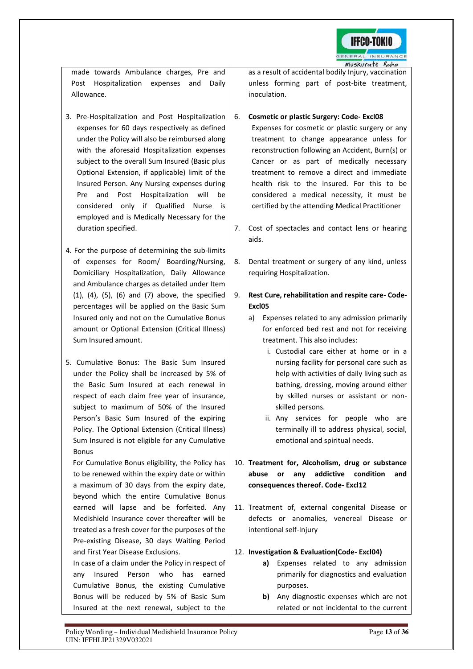

made towards Ambulance charges, Pre and Post Hospitalization expenses and Daily Allowance.

- 3. Pre-Hospitalization and Post Hospitalization expenses for 60 days respectively as defined under the Policy will also be reimbursed along with the aforesaid Hospitalization expenses subject to the overall Sum Insured (Basic plus Optional Extension, if applicable) limit of the Insured Person. Any Nursing expenses during Pre and Post Hospitalization will be considered only if Qualified Nurse is employed and is Medically Necessary for the duration specified.
- 4. For the purpose of determining the sub-limits of expenses for Room/ Boarding/Nursing, Domiciliary Hospitalization, Daily Allowance and Ambulance charges as detailed under Item (1), (4), (5), (6) and (7) above, the specified percentages will be applied on the Basic Sum Insured only and not on the Cumulative Bonus amount or Optional Extension (Critical Illness) Sum Insured amount.
- 5. Cumulative Bonus: The Basic Sum Insured under the Policy shall be increased by 5% of the Basic Sum Insured at each renewal in respect of each claim free year of insurance, subject to maximum of 50% of the Insured Person's Basic Sum Insured of the expiring Policy. The Optional Extension (Critical Illness) Sum Insured is not eligible for any Cumulative Bonus

 For Cumulative Bonus eligibility, the Policy has to be renewed within the expiry date or within a maximum of 30 days from the expiry date, beyond which the entire Cumulative Bonus earned will lapse and be forfeited. Any Medishield Insurance cover thereafter will be treated as a fresh cover for the purposes of the Pre-existing Disease, 30 days Waiting Period and First Year Disease Exclusions.

In case of a claim under the Policy in respect of any Insured Person who has earned Cumulative Bonus, the existing Cumulative Bonus will be reduced by 5% of Basic Sum Insured at the next renewal, subject to the as a result of accidental bodily Injury, vaccination unless forming part of post-bite treatment, inoculation.

# 6. **Cosmetic or plastic Surgery: Code- Excl08**

Expenses for cosmetic or plastic surgery or any treatment to change appearance unless for reconstruction following an Accident, Burn(s) or Cancer or as part of medically necessary treatment to remove a direct and immediate health risk to the insured. For this to be considered a medical necessity, it must be certified by the attending Medical Practitioner

- 7. Cost of spectacles and contact lens or hearing aids.
- 8. Dental treatment or surgery of any kind, unless requiring Hospitalization.
- 9. **Rest Cure, rehabilitation and respite care- Code-Excl05**
	- a) Expenses related to any admission primarily for enforced bed rest and not for receiving treatment. This also includes:
		- i. Custodial care either at home or in a nursing facility for personal care such as help with activities of daily living such as bathing, dressing, moving around either by skilled nurses or assistant or nonskilled persons.
		- ii. Any services for people who are terminally ill to address physical, social, emotional and spiritual needs.

10. **Treatment for, Alcoholism, drug or substance abuse or any addictive condition and consequences thereof. Code- Excl12** 

11. Treatment of, external congenital Disease or defects or anomalies, venereal Disease or intentional self-Injury

# 12. **Investigation & Evaluation(Code- Excl04)**

- **a)** Expenses related to any admission primarily for diagnostics and evaluation purposes.
- **b)** Any diagnostic expenses which are not related or not incidental to the current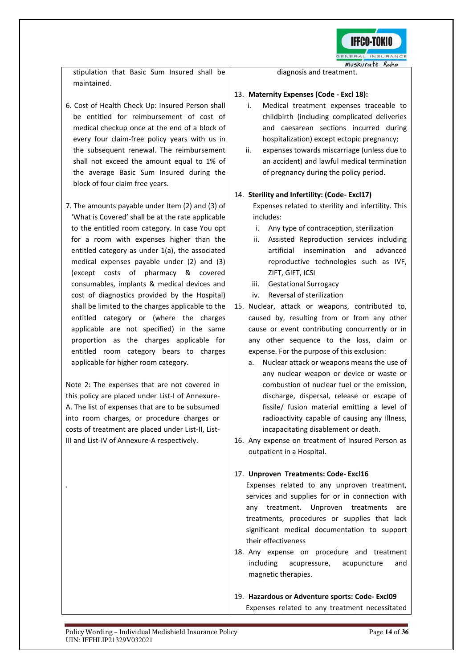

stipulation that Basic Sum Insured shall be maintained.

- 6. Cost of Health Check Up: Insured Person shall be entitled for reimbursement of cost of medical checkup once at the end of a block of every four claim-free policy years with us in the subsequent renewal. The reimbursement shall not exceed the amount equal to 1% of the average Basic Sum Insured during the block of four claim free years.
- 7. The amounts payable under Item (2) and (3) of 'What is Covered' shall be at the rate applicable to the entitled room category. In case You opt for a room with expenses higher than the entitled category as under 1(a), the associated medical expenses payable under (2) and (3) (except costs of pharmacy & covered consumables, implants & medical devices and cost of diagnostics provided by the Hospital) shall be limited to the charges applicable to the entitled category or (where the charges applicable are not specified) in the same proportion as the charges applicable for entitled room category bears to charges applicable for higher room category.

Note 2: The expenses that are not covered in this policy are placed under List-I of Annexure-A. The list of expenses that are to be subsumed into room charges, or procedure charges or costs of treatment are placed under List-II, List-III and List-IV of Annexure-A respectively.

.

diagnosis and treatment.

# 13. **Maternity Expenses (Code - Excl 18):**

- i. Medical treatment expenses traceable to childbirth (including complicated deliveries and caesarean sections incurred during hospitalization) except ectopic pregnancy;
- ii. expenses towards miscarriage (unless due to an accident) and lawful medical termination of pregnancy during the policy period.

# 14. **Sterility and Infertility: (Code- Excl17)**

Expenses related to sterility and infertility. This includes:

- i. Any type of contraception, sterilization
- ii. Assisted Reproduction services including artificial insemination and advanced reproductive technologies such as IVF, ZIFT, GIFT, ICSI
- iii. Gestational Surrogacy
- iv. Reversal of sterilization
- 15. Nuclear, attack or weapons, contributed to, caused by, resulting from or from any other cause or event contributing concurrently or in any other sequence to the loss, claim or expense. For the purpose of this exclusion:
	- a. Nuclear attack or weapons means the use of any nuclear weapon or device or waste or combustion of nuclear fuel or the emission, discharge, dispersal, release or escape of fissile/ fusion material emitting a level of radioactivity capable of causing any Illness, incapacitating disablement or death.
- 16. Any expense on treatment of Insured Person as outpatient in a Hospital.

# 17. **Unproven Treatments: Code- Excl16**

Expenses related to any unproven treatment, services and supplies for or in connection with any treatment. Unproven treatments are treatments, procedures or supplies that lack significant medical documentation to support their effectiveness

18. Any expense on procedure and treatment including acupressure, acupuncture and magnetic therapies.

19. **Hazardous or Adventure sports: Code- Excl09** Expenses related to any treatment necessitated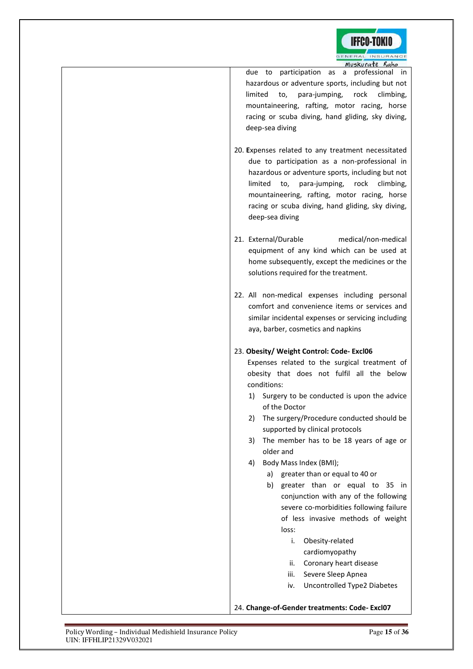

due to participation as a professional in hazardous or adventure sports, including but not limited to, para-jumping, rock climbing, mountaineering, rafting, motor racing, horse racing or scuba diving, hand gliding, sky diving, deep-sea diving

- 20. **E**xpenses related to any treatment necessitated due to participation as a non-professional in hazardous or adventure sports, including but not limited to, para-jumping, rock climbing, mountaineering, rafting, motor racing, horse racing or scuba diving, hand gliding, sky diving, deep-sea diving
- 21. External/Durable medical/non-medical equipment of any kind which can be used at home subsequently, except the medicines or the solutions required for the treatment.
- 22. All non-medical expenses including personal comfort and convenience items or services and similar incidental expenses or servicing including aya, barber, cosmetics and napkins

# 23. **Obesity/ Weight Control: Code- Excl06**

Expenses related to the surgical treatment of obesity that does not fulfil all the below conditions:

- 1) Surgery to be conducted is upon the advice of the Doctor
- 2) The surgery/Procedure conducted should be supported by clinical protocols
- 3) The member has to be 18 years of age or older and
- 4) Body Mass Index (BMI);
	- a) greater than or equal to 40 or
	- b) greater than or equal to 35 in conjunction with any of the following severe co-morbidities following failure of less invasive methods of weight loss:
		- i. Obesity-related
			- cardiomyopathy
		- ii. Coronary heart disease
		- iii. Severe Sleep Apnea
		- iv. Uncontrolled Type2 Diabetes

# 24. **Change-of-Gender treatments: Code- Excl07**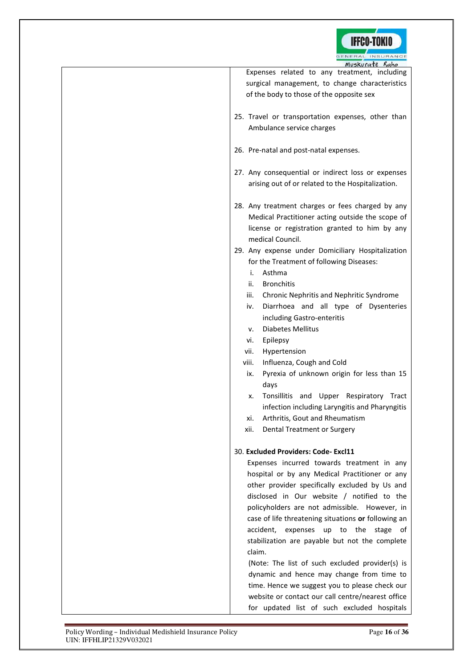

| GENERAL INSURANCE<br>Muskurate Raho                     |
|---------------------------------------------------------|
| Expenses related to any treatment, including            |
| surgical management, to change characteristics          |
|                                                         |
| of the body to those of the opposite sex                |
|                                                         |
| 25. Travel or transportation expenses, other than       |
| Ambulance service charges                               |
|                                                         |
| 26. Pre-natal and post-natal expenses.                  |
|                                                         |
| 27. Any consequential or indirect loss or expenses      |
| arising out of or related to the Hospitalization.       |
|                                                         |
|                                                         |
| 28. Any treatment charges or fees charged by any        |
| Medical Practitioner acting outside the scope of        |
| license or registration granted to him by any           |
| medical Council.                                        |
| 29. Any expense under Domiciliary Hospitalization       |
| for the Treatment of following Diseases:                |
| Asthma<br>i.                                            |
| <b>Bronchitis</b><br>ii.                                |
| iii.<br>Chronic Nephritis and Nephritic Syndrome        |
| Diarrhoea and all type of Dysenteries<br>iv.            |
|                                                         |
| including Gastro-enteritis                              |
| <b>Diabetes Mellitus</b><br>v.                          |
| Epilepsy<br>vi.                                         |
| Hypertension<br>vii.                                    |
| viii.<br>Influenza, Cough and Cold                      |
| Pyrexia of unknown origin for less than 15<br>ix.       |
| days                                                    |
| Tonsillitis and Upper Respiratory Tract<br>х.           |
| infection including Laryngitis and Pharyngitis          |
| Arthritis, Gout and Rheumatism<br>xi.                   |
|                                                         |
| xii.<br>Dental Treatment or Surgery                     |
|                                                         |
| 30. Excluded Providers: Code- Excl11                    |
| Expenses incurred towards treatment in any              |
| hospital or by any Medical Practitioner or any          |
| other provider specifically excluded by Us and          |
| disclosed in Our website / notified to the              |
| policyholders are not admissible. However, in           |
| case of life threatening situations or following an     |
| accident,<br>the<br>expenses<br>up<br>to<br>stage<br>ot |
|                                                         |
| stabilization are payable but not the complete          |
| claim.                                                  |
| (Note: The list of such excluded provider(s) is         |
| dynamic and hence may change from time to               |
| time. Hence we suggest you to please check our          |
| website or contact our call centre/nearest office       |
| for updated list of such excluded hospitals             |
|                                                         |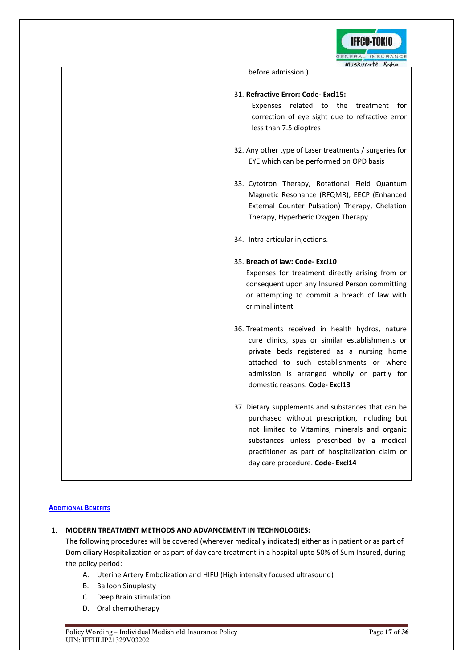

| Muskurgte Raho                                                                                                                                                                                                                                                                           |
|------------------------------------------------------------------------------------------------------------------------------------------------------------------------------------------------------------------------------------------------------------------------------------------|
| before admission.)                                                                                                                                                                                                                                                                       |
| 31. Refractive Error: Code-Excl15:<br>Expenses related to the treatment for<br>correction of eye sight due to refractive error<br>less than 7.5 dioptres                                                                                                                                 |
| 32. Any other type of Laser treatments / surgeries for<br>EYE which can be performed on OPD basis                                                                                                                                                                                        |
| 33. Cytotron Therapy, Rotational Field Quantum<br>Magnetic Resonance (RFQMR), EECP (Enhanced<br>External Counter Pulsation) Therapy, Chelation<br>Therapy, Hyperberic Oxygen Therapy                                                                                                     |
| 34. Intra-articular injections.                                                                                                                                                                                                                                                          |
| 35. Breach of law: Code-Excl10<br>Expenses for treatment directly arising from or<br>consequent upon any Insured Person committing<br>or attempting to commit a breach of law with<br>criminal intent                                                                                    |
| 36. Treatments received in health hydros, nature<br>cure clinics, spas or similar establishments or<br>private beds registered as a nursing home<br>attached to such establishments or where<br>admission is arranged wholly or partly for<br>domestic reasons. Code-Excl13              |
| 37. Dietary supplements and substances that can be<br>purchased without prescription, including but<br>not limited to Vitamins, minerals and organic<br>substances unless prescribed by a medical<br>practitioner as part of hospitalization claim or<br>day care procedure. Code-Excl14 |

# **ADDITIONAL BENEFITS**

# 1. **MODERN TREATMENT METHODS AND ADVANCEMENT IN TECHNOLOGIES:**

The following procedures will be covered (wherever medically indicated) either as in patient or as part of Domiciliary Hospitalization or as part of day care treatment in a hospital upto 50% of Sum Insured, during the policy period:

- A. Uterine Artery Embolization and HIFU (High intensity focused ultrasound)
- B. Balloon Sinuplasty
- C. Deep Brain stimulation
- D. Oral chemotherapy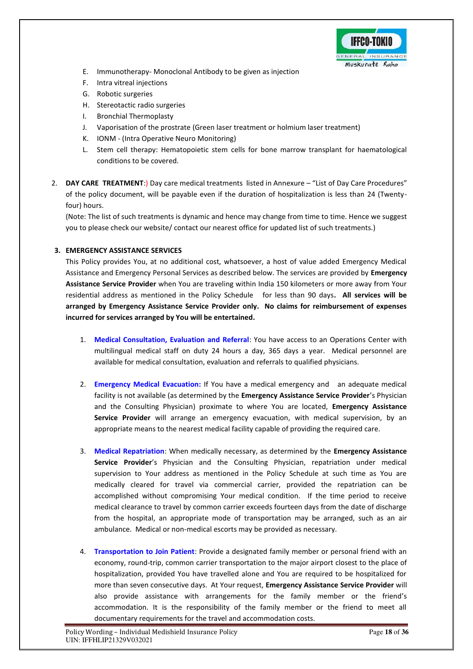

- E. Immunotherapy- Monoclonal Antibody to be given as injection
- F. Intra vitreal injections
- G. Robotic surgeries
- H. Stereotactic radio surgeries
- I. Bronchial Thermoplasty
- J. Vaporisation of the prostrate (Green laser treatment or holmium laser treatment)
- K. IONM (Intra Operative Neuro Monitoring)
- L. Stem cell therapy: Hematopoietic stem cells for bone marrow transplant for haematological conditions to be covered.
- 2. **DAY CARE TREATMENT**:) Day care medical treatments listed in Annexure "List of Day Care Procedures" of the policy document, will be payable even if the duration of hospitalization is less than 24 (Twentyfour) hours.

(Note: The list of such treatments is dynamic and hence may change from time to time. Hence we suggest you to please check our website/ contact our nearest office for updated list of such treatments.)

# **3. EMERGENCY ASSISTANCE SERVICES**

This Policy provides You, at no additional cost, whatsoever, a host of value added Emergency Medical Assistance and Emergency Personal Services as described below. The services are provided by **Emergency Assistance Service Provider** when You are traveling within India 150 kilometers or more away from Your residential address as mentioned in the Policy Schedule for less than 90 days**. All services will be arranged by Emergency Assistance Service Provider only. No claims for reimbursement of expenses incurred for services arranged by You will be entertained.** 

- 1. **Medical Consultation, Evaluation and Referral**: You have access to an Operations Center with multilingual medical staff on duty 24 hours a day, 365 days a year. Medical personnel are available for medical consultation, evaluation and referrals to qualified physicians.
- 2. **Emergency Medical Evacuation:** If You have a medical emergency and an adequate medical facility is not available (as determined by the **Emergency Assistance Service Provider**'s Physician and the Consulting Physician) proximate to where You are located, **Emergency Assistance Service Provider** will arrange an emergency evacuation, with medical supervision, by an appropriate means to the nearest medical facility capable of providing the required care.
- 3. **Medical Repatriation**: When medically necessary, as determined by the **Emergency Assistance Service Provider**'s Physician and the Consulting Physician, repatriation under medical supervision to Your address as mentioned in the Policy Schedule at such time as You are medically cleared for travel via commercial carrier, provided the repatriation can be accomplished without compromising Your medical condition. If the time period to receive medical clearance to travel by common carrier exceeds fourteen days from the date of discharge from the hospital, an appropriate mode of transportation may be arranged, such as an air ambulance. Medical or non-medical escorts may be provided as necessary.
- 4. **Transportation to Join Patient**: Provide a designated family member or personal friend with an economy, round-trip, common carrier transportation to the major airport closest to the place of hospitalization, provided You have travelled alone and You are required to be hospitalized for more than seven consecutive days. At Your request, **Emergency Assistance Service Provider** will also provide assistance with arrangements for the family member or the friend's accommodation. It is the responsibility of the family member or the friend to meet all documentary requirements for the travel and accommodation costs.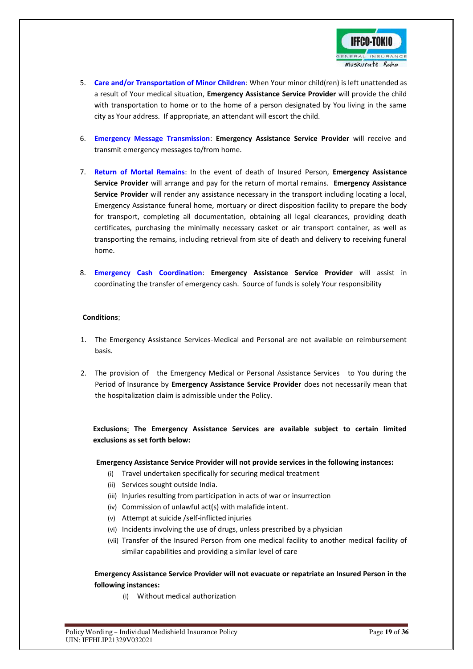

- 5. **Care and/or Transportation of Minor Children**: When Your minor child(ren) is left unattended as a result of Your medical situation, **Emergency Assistance Service Provider** will provide the child with transportation to home or to the home of a person designated by You living in the same city as Your address. If appropriate, an attendant will escort the child.
- 6. **Emergency Message Transmission**: **Emergency Assistance Service Provider** will receive and transmit emergency messages to/from home.
- 7. **Return of Mortal Remains**: In the event of death of Insured Person, **Emergency Assistance Service Provider** will arrange and pay for the return of mortal remains. **Emergency Assistance Service Provider** will render any assistance necessary in the transport including locating a local, Emergency Assistance funeral home, mortuary or direct disposition facility to prepare the body for transport, completing all documentation, obtaining all legal clearances, providing death certificates, purchasing the minimally necessary casket or air transport container, as well as transporting the remains, including retrieval from site of death and delivery to receiving funeral home.
- 8. **Emergency Cash Coordination**: **Emergency Assistance Service Provider** will assist in coordinating the transfer of emergency cash. Source of funds is solely Your responsibility

# **Conditions**:

- 1. The Emergency Assistance Services-Medical and Personal are not available on reimbursement basis.
- 2. The provision of the Emergency Medical or Personal Assistance Services to You during the Period of Insurance by **Emergency Assistance Service Provider** does not necessarily mean that the hospitalization claim is admissible under the Policy.

**Exclusions**: **The Emergency Assistance Services are available subject to certain limited exclusions as set forth below:** 

#### **Emergency Assistance Service Provider will not provide services in the following instances:**

- (i) Travel undertaken specifically for securing medical treatment
- (ii) Services sought outside India.
- (iii) Injuries resulting from participation in acts of war or insurrection
- (iv) Commission of unlawful act(s) with malafide intent.
- (v) Attempt at suicide /self-inflicted injuries
- (vi) Incidents involving the use of drugs, unless prescribed by a physician
- (vii) Transfer of the Insured Person from one medical facility to another medical facility of similar capabilities and providing a similar level of care

# **Emergency Assistance Service Provider will not evacuate or repatriate an Insured Person in the following instances:**

(i) Without medical authorization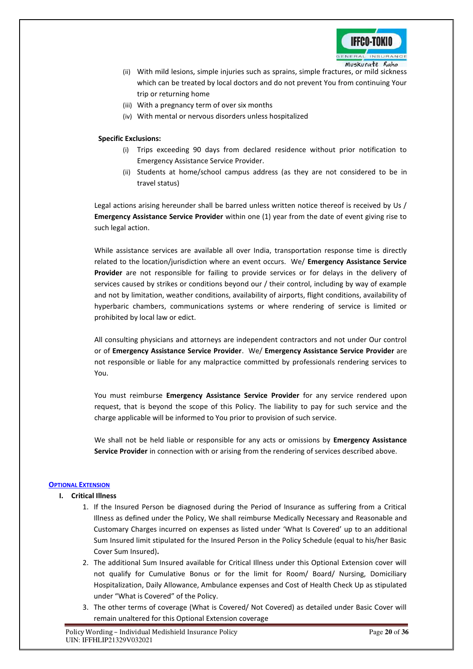

- (ii) With mild lesions, simple injuries such as sprains, simple fractures, or mild sickness which can be treated by local doctors and do not prevent You from continuing Your trip or returning home
- (iii) With a pregnancy term of over six months
- (iv) With mental or nervous disorders unless hospitalized

# **Specific Exclusions:**

- (i) Trips exceeding 90 days from declared residence without prior notification to Emergency Assistance Service Provider.
- (ii) Students at home/school campus address (as they are not considered to be in travel status)

Legal actions arising hereunder shall be barred unless written notice thereof is received by Us / **Emergency Assistance Service Provider** within one (1) year from the date of event giving rise to such legal action.

While assistance services are available all over India, transportation response time is directly related to the location/jurisdiction where an event occurs. We/ **Emergency Assistance Service Provider** are not responsible for failing to provide services or for delays in the delivery of services caused by strikes or conditions beyond our / their control, including by way of example and not by limitation, weather conditions, availability of airports, flight conditions, availability of hyperbaric chambers, communications systems or where rendering of service is limited or prohibited by local law or edict.

All consulting physicians and attorneys are independent contractors and not under Our control or of **Emergency Assistance Service Provider**. We/ **Emergency Assistance Service Provider** are not responsible or liable for any malpractice committed by professionals rendering services to You.

You must reimburse **Emergency Assistance Service Provider** for any service rendered upon request, that is beyond the scope of this Policy. The liability to pay for such service and the charge applicable will be informed to You prior to provision of such service.

We shall not be held liable or responsible for any acts or omissions by **Emergency Assistance Service Provider** in connection with or arising from the rendering of services described above.

# **OPTIONAL EXTENSION**

# **I. Critical Illness**

- 1. If the Insured Person be diagnosed during the Period of Insurance as suffering from a Critical Illness as defined under the Policy, We shall reimburse Medically Necessary and Reasonable and Customary Charges incurred on expenses as listed under 'What Is Covered' up to an additional Sum Insured limit stipulated for the Insured Person in the Policy Schedule (equal to his/her Basic Cover Sum Insured)**.**
- 2. The additional Sum Insured available for Critical Illness under this Optional Extension cover will not qualify for Cumulative Bonus or for the limit for Room/ Board/ Nursing, Domiciliary Hospitalization, Daily Allowance, Ambulance expenses and Cost of Health Check Up as stipulated under "What is Covered" of the Policy.
- 3. The other terms of coverage (What is Covered/ Not Covered) as detailed under Basic Cover will remain unaltered for this Optional Extension coverage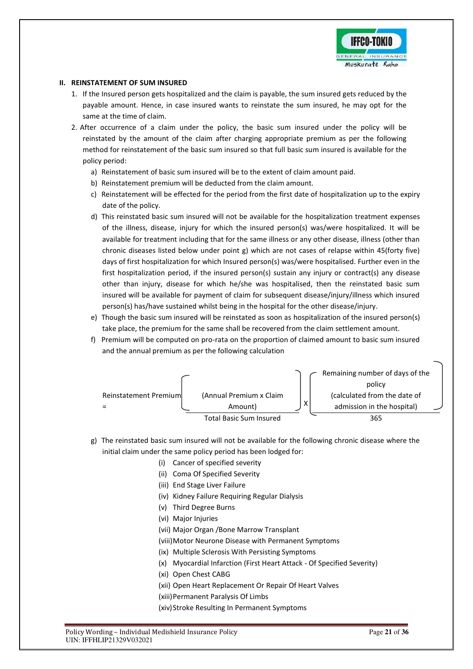

# **II. REINSTATEMENT OF SUM INSURED**

- 1. If the Insured person gets hospitalized and the claim is payable, the sum insured gets reduced by the payable amount. Hence, in case insured wants to reinstate the sum insured, he may opt for the same at the time of claim.
- 2. After occurrence of a claim under the policy, the basic sum insured under the policy will be reinstated by the amount of the claim after charging appropriate premium as per the following method for reinstatement of the basic sum insured so that full basic sum insured is available for the policy period:
	- a) Reinstatement of basic sum insured will be to the extent of claim amount paid.
	- b) Reinstatement premium will be deducted from the claim amount.
	- c) Reinstatement will be effected for the period from the first date of hospitalization up to the expiry date of the policy.
	- d) This reinstated basic sum insured will not be available for the hospitalization treatment expenses of the illness, disease, injury for which the insured person(s) was/were hospitalized. It will be available for treatment including that for the same illness or any other disease, illness (other than chronic diseases listed below under point g) which are not cases of relapse within 45(forty five) days of first hospitalization for which Insured person(s) was/were hospitalised. Further even in the first hospitalization period, if the insured person(s) sustain any injury or contract(s) any disease other than injury, disease for which he/she was hospitalised, then the reinstated basic sum insured will be available for payment of claim for subsequent disease/injury/illness which insured person(s) has/have sustained whilst being in the hospital for the other disease/injury.
	- e) Though the basic sum insured will be reinstated as soon as hospitalization of the insured person(s) take place, the premium for the same shall be recovered from the claim settlement amount.
	- f) Premium will be computed on pro-rata on the proportion of claimed amount to basic sum insured and the annual premium as per the following calculation



- g) The reinstated basic sum insured will not be available for the following chronic disease where the initial claim under the same policy period has been lodged for:
	- (i) Cancer of specified severity
	- (ii) Coma Of Specified Severity
	- (iii) End Stage Liver Failure
	- (iv) Kidney Failure Requiring Regular Dialysis
	- (v) Third Degree Burns
	- (vi) Major Injuries
	- (vii) Major Organ /Bone Marrow Transplant
	- (viii)Motor Neurone Disease with Permanent Symptoms
	- (ix) Multiple Sclerosis With Persisting Symptoms
	- (x) Myocardial Infarction (First Heart Attack Of Specified Severity)
	- (xi) Open Chest CABG
	- (xii) Open Heart Replacement Or Repair Of Heart Valves
	- (xiii)Permanent Paralysis Of Limbs
	- (xiv)Stroke Resulting In Permanent Symptoms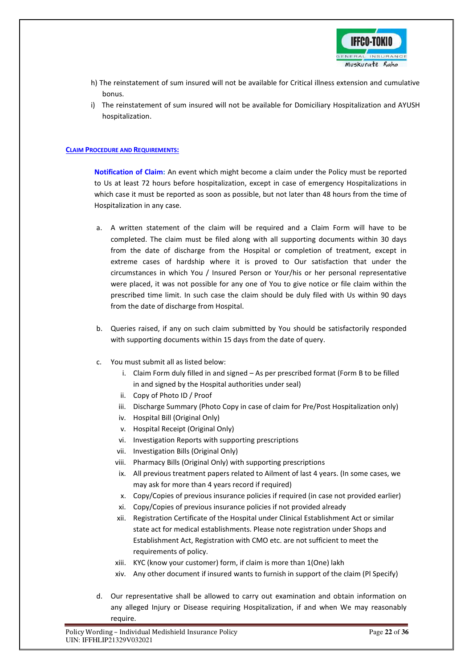

- h) The reinstatement of sum insured will not be available for Critical illness extension and cumulative bonus.
- i) The reinstatement of sum insured will not be available for Domiciliary Hospitalization and AYUSH hospitalization.

# **CLAIM PROCEDURE AND REQUIREMENTS:**

**Notification of Claim:** An event which might become a claim under the Policy must be reported to Us at least 72 hours before hospitalization, except in case of emergency Hospitalizations in which case it must be reported as soon as possible, but not later than 48 hours from the time of Hospitalization in any case.

- a. A written statement of the claim will be required and a Claim Form will have to be completed. The claim must be filed along with all supporting documents within 30 days from the date of discharge from the Hospital or completion of treatment, except in extreme cases of hardship where it is proved to Our satisfaction that under the circumstances in which You / Insured Person or Your/his or her personal representative were placed, it was not possible for any one of You to give notice or file claim within the prescribed time limit. In such case the claim should be duly filed with Us within 90 days from the date of discharge from Hospital.
- b. Queries raised, if any on such claim submitted by You should be satisfactorily responded with supporting documents within 15 days from the date of query.
- c. You must submit all as listed below:
	- i. Claim Form duly filled in and signed As per prescribed format (Form B to be filled in and signed by the Hospital authorities under seal)
	- ii. Copy of Photo ID / Proof
	- iii. Discharge Summary (Photo Copy in case of claim for Pre/Post Hospitalization only)
	- iv. Hospital Bill (Original Only)
	- v. Hospital Receipt (Original Only)
	- vi. Investigation Reports with supporting prescriptions
	- vii. Investigation Bills (Original Only)
	- viii. Pharmacy Bills (Original Only) with supporting prescriptions
	- ix. All previous treatment papers related to Ailment of last 4 years. (In some cases, we may ask for more than 4 years record if required)
	- x. Copy/Copies of previous insurance policies if required (in case not provided earlier)
	- xi. Copy/Copies of previous insurance policies if not provided already
	- xii. Registration Certificate of the Hospital under Clinical Establishment Act or similar state act for medical establishments. Please note registration under Shops and Establishment Act, Registration with CMO etc. are not sufficient to meet the requirements of policy.
	- xiii. KYC (know your customer) form, if claim is more than 1(One) lakh
	- xiv. Any other document if insured wants to furnish in support of the claim (Pl Specify)
- d. Our representative shall be allowed to carry out examination and obtain information on any alleged Injury or Disease requiring Hospitalization, if and when We may reasonably require.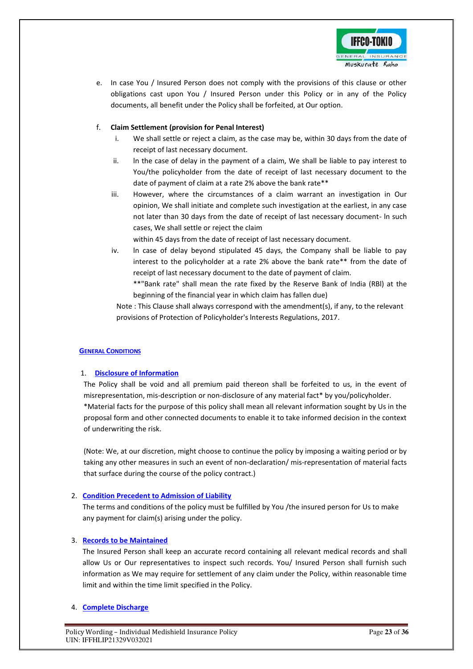

e. In case You / Insured Person does not comply with the provisions of this clause or other obligations cast upon You / Insured Person under this Policy or in any of the Policy documents, all benefit under the Policy shall be forfeited, at Our option.

# f. **Claim Settlement (provision for Penal Interest)**

- i. We shall settle or reject a claim, as the case may be, within 30 days from the date of receipt of last necessary document.
- ii. ln the case of delay in the payment of a claim, We shall be liable to pay interest to You/the policyholder from the date of receipt of last necessary document to the date of payment of claim at a rate 2% above the bank rate\*\*
- iii. However, where the circumstances of a claim warrant an investigation in Our opinion, We shall initiate and complete such investigation at the earliest, in any case not later than 30 days from the date of receipt of last necessary document- ln such cases, We shall settle or reject the claim

within 45 days from the date of receipt of last necessary document.

- iv. ln case of delay beyond stipulated 45 days, the Company shall be liable to pay interest to the policyholder at a rate 2% above the bank rate\*\* from the date of receipt of last necessary document to the date of payment of claim.
	- \*\*"Bank rate" shall mean the rate fixed by the Reserve Bank of India (RBl) at the beginning of the financial year in which claim has fallen due)

Note : This Clause shall always correspond with the amendment(s), if any, to the relevant provisions of Protection of Policyholder's lnterests Regulations, 2017.

# **GENERAL CONDITIONS**

# 1. **Disclosure of Information**

The Policy shall be void and all premium paid thereon shall be forfeited to us, in the event of misrepresentation, mis-description or non-disclosure of any material fact\* by you/policyholder. \*Material facts for the purpose of this policy shall mean all relevant information sought by Us in the proposal form and other connected documents to enable it to take informed decision in the context of underwriting the risk.

(Note: We, at our discretion, might choose to continue the policy by imposing a waiting period or by taking any other measures in such an event of non-declaration/ mis-representation of material facts that surface during the course of the policy contract.)

# 2. **Condition Precedent to Admission of Liability**

The terms and conditions of the policy must be fulfilled by You /the insured person for Us to make any payment for claim(s) arising under the policy.

# 3. **Records to be Maintained**

The Insured Person shall keep an accurate record containing all relevant medical records and shall allow Us or Our representatives to inspect such records. You/ Insured Person shall furnish such information as We may require for settlement of any claim under the Policy, within reasonable time limit and within the time limit specified in the Policy.

# 4. **Complete Discharge**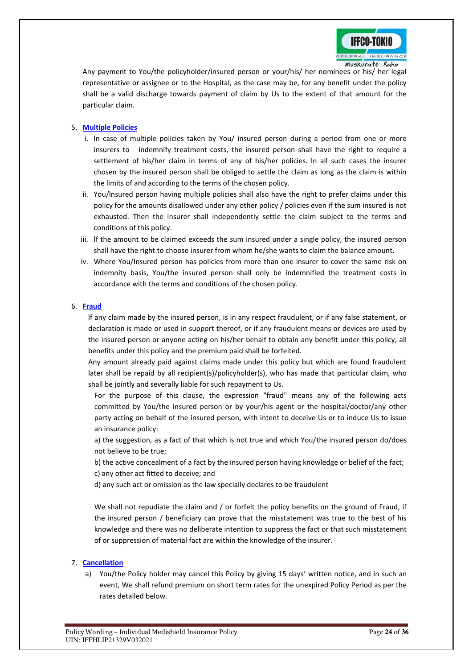

Any payment to You/the policyholder/insured person or your/his/ her nominees or his/ her legal representative or assignee or to the Hospital, as the case may be, for any benefit under the policy shall be a valid discharge towards payment of claim by Us to the extent of that amount for the particular claim.

# 5. **Multiple Policies**

- i. ln case of multiple policies taken by You/ insured person during a period from one or more insurers to indemnify treatment costs, the insured person shall have the right to require a settlement of his/her claim in terms of any of his/her policies. ln all such cases the insurer chosen by the insured person shall be obliged to settle the claim as long as the claim is within the limits of and according to the terms of the chosen policy.
- ii. You/lnsured person having multiple policies shall also have the right to prefer claims under this policy for the amounts disallowed under any other policy / policies even if the sum insured is not exhausted. Then the insurer shall independently settle the claim subject to the terms and conditions of this policy.
- iii. lf the amount to be claimed exceeds the sum insured under a single policy, the insured person shall have the right to choose insurer from whom he/she wants to claim the balance amount.
- iv. Where You/Insured person has policies from more than one insurer to cover the same risk on indemnity basis, You/the insured person shall only be indemnified the treatment costs in accordance with the terms and conditions of the chosen policy.

# 6. **Fraud**

lf any claim made by the insured person, is in any respect fraudulent, or if any false statement, or declaration is made or used in support thereof, or if any fraudulent means or devices are used by the insured person or anyone acting on his/her behalf to obtain any benefit under this policy, all benefits under this policy and the premium paid shall be forfeited.

Any amount already paid against claims made under this policy but which are found fraudulent later shall be repaid by all recipient(s)/policyholder(s), who has made that particular claim, who shall be jointly and severally liable for such repayment to Us.

For the purpose of this clause, the expression "fraud" means any of the following acts committed by You/the insured person or by your/his agent or the hospital/doctor/any other party acting on behalf of the insured person, with intent to deceive Us or to induce Us to issue an insurance policy:

a) the suggestion, as a fact of that which is not true and which You/the insured person do/does not believe to be true;

b) the active concealment of a fact by the insured person having knowledge or belief of the fact; c) any other act fitted to deceive; and

d) any such act or omission as the law specially declares to be fraudulent

We shall not repudiate the claim and / or forfeit the policy benefits on the ground of Fraud, if the insured person / beneficiary can prove that the misstatement was true to the best of his knowledge and there was no deliberate intention to suppress the fact or that such misstatement of or suppression of material fact are within the knowledge of the insurer.

# 7. **Cancellation**

a) You/the Policy holder may cancel this Policy by giving 15 days' written notice, and in such an event, We shall refund premium on short term rates for the unexpired Policy Period as per the rates detailed below.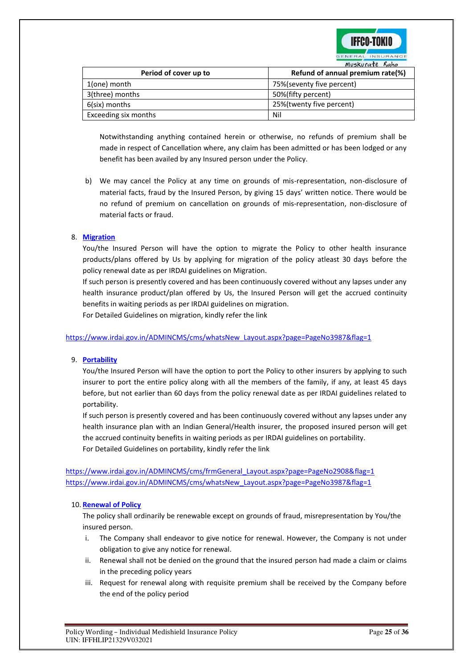

| MUSKUrate Sano        |                                  |
|-----------------------|----------------------------------|
| Period of cover up to | Refund of annual premium rate(%) |
| 1(one) month          | 75%(seventy five percent)        |
| 3(three) months       | 50%(fifty percent)               |
| 6(six) months         | 25%(twenty five percent)         |
| Exceeding six months  | Nil                              |

Notwithstanding anything contained herein or otherwise, no refunds of premium shall be made in respect of Cancellation where, any claim has been admitted or has been lodged or any benefit has been availed by any Insured person under the Policy.

b) We may cancel the Policy at any time on grounds of mis-representation, non-disclosure of material facts, fraud by the Insured Person, by giving 15 days' written notice. There would be no refund of premium on cancellation on grounds of mis-representation, non-disclosure of material facts or fraud.

# 8. **Migration**

You/the Insured Person will have the option to migrate the Policy to other health insurance products/plans offered by Us by applying for migration of the policy atleast 30 days before the policy renewal date as per IRDAI guidelines on Migration.

If such person is presently covered and has been continuously covered without any lapses under any health insurance product/plan offered by Us, the Insured Person will get the accrued continuity benefits in waiting periods as per IRDAI guidelines on migration.

For Detailed Guidelines on migration, kindly refer the link

[https://www.irdai.gov.in/ADMINCMS/cms/whatsNew\\_Layout.aspx?page=PageNo3987&flag=1](https://www.irdai.gov.in/ADMINCMS/cms/whatsNew_Layout.aspx?page=PageNo3987&flag=1)

# 9. **Portability**

You/the Insured Person will have the option to port the Policy to other insurers by applying to such insurer to port the entire policy along with all the members of the family, if any, at least 45 days before, but not earlier than 60 days from the policy renewal date as per IRDAI guidelines related to portability.

If such person is presently covered and has been continuously covered without any lapses under any health insurance plan with an Indian General/Health insurer, the proposed insured person will get the accrued continuity benefits in waiting periods as per IRDAI guidelines on portability. For Detailed Guidelines on portability, kindly refer the link

[https://www.irdai.gov.in/ADMINCMS/cms/frmGeneral\\_Layout.aspx?page=PageNo2908&flag=1](https://www.irdai.gov.in/ADMINCMS/cms/frmGeneral_Layout.aspx?page=PageNo2908&flag=1) [https://www.irdai.gov.in/ADMINCMS/cms/whatsNew\\_Layout.aspx?page=PageNo3987&flag=1](https://www.irdai.gov.in/ADMINCMS/cms/whatsNew_Layout.aspx?page=PageNo3987&flag=1)

#### 10. **Renewal of Policy**

The policy shall ordinarily be renewable except on grounds of fraud, misrepresentation by You/the insured person.

- i. The Company shall endeavor to give notice for renewal. However, the Company is not under obligation to give any notice for renewal.
- ii. Renewal shall not be denied on the ground that the insured person had made a claim or claims in the preceding policy years
- iii. Request for renewal along with requisite premium shall be received by the Company before the end of the policy period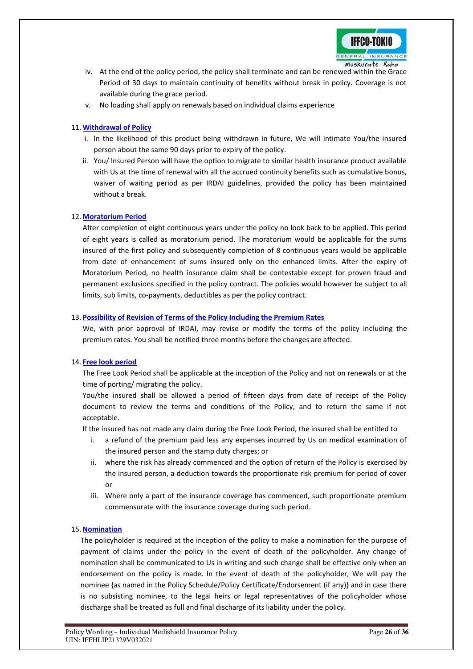

- iv. At the end of the policy period, the policy shall terminate and can be renewed within the Grace Period of 30 days to maintain continuity of benefits without break in policy. Coverage is not available during the grace period.
- v. No loading shall apply on renewals based on individual claims experience

# 11. **Withdrawal of Policy**

- i. ln the likelihood of this product being withdrawn in future, We will intimate You/the insured person about the same 90 days prior to expiry of the policy.
- ii. You/ lnsured Person will have the option to migrate to similar health insurance product available with Us at the time of renewal with all the accrued continuity benefits such as cumulative bonus, waiver of waiting period as per IRDAI guidelines, provided the policy has been maintained without a break.

# 12. **Moratorium Period**

After completion of eight continuous years under the policy no look back to be applied. This period of eight years is called as moratorium period. The moratorium would be applicable for the sums insured of the first policy and subsequently completion of 8 continuous years would be applicable from date of enhancement of sums insured only on the enhanced limits. After the expiry of Moratorium Period, no health insurance claim shall be contestable except for proven fraud and permanent exclusions specified in the policy contract. The policies would however be subject to all limits, sub limits, co-payments, deductibles as per the policy contract.

# 13. **Possibility of Revision of Terms of the Policy Including the Premium Rates**

We, with prior approval of IRDAI, may revise or modify the terms of the policy including the premium rates. You shall be notified three months before the changes are affected.

# 14. **Free look period**

The Free Look Period shall be applicable at the inception of the Policy and not on renewals or at the time of porting/ migrating the policy.

You/the insured shall be allowed a period of fifteen days from date of receipt of the Policy document to review the terms and conditions of the Policy, and to return the same if not acceptable.

If the insured has not made any claim during the Free Look Period, the insured shall be entitled to

- i. a refund of the premium paid less any expenses incurred by Us on medical examination of the insured person and the stamp duty charges; or
- ii. where the risk has already commenced and the option of return of the Policy is exercised by the insured person, a deduction towards the proportionate risk premium for period of cover or
- iii. Where only a part of the insurance coverage has commenced, such proportionate premium commensurate with the insurance coverage during such period.

# 15. **Nomination**

The policyholder is required at the inception of the policy to make a nomination for the purpose of payment of claims under the policy in the event of death of the policyholder. Any change of nomination shall be communicated to Us in writing and such change shall be effective only when an endorsement on the policy is made. ln the event of death of the policyholder, We will pay the nominee {as named in the Policy Schedule/Policy Certificate/Endorsement (if any)} and in case there is no subsisting nominee, to the legal heirs or legal representatives of the policyholder whose discharge shall be treated as full and final discharge of its liability under the policy.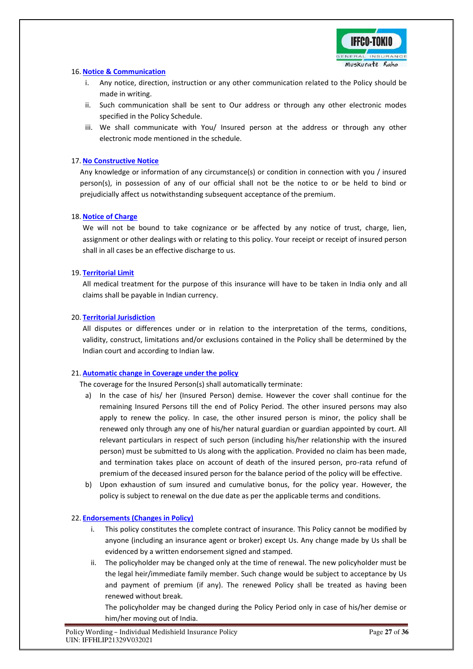

# 16. **Notice & Communication**

- i. Any notice, direction, instruction or any other communication related to the Policy should be made in writing.
- ii. Such communication shall be sent to Our address or through any other electronic modes specified in the Policy Schedule.
- iii. We shall communicate with You/ Insured person at the address or through any other electronic mode mentioned in the schedule.

# 17. **No Constructive Notice**

Any knowledge or information of any circumstance(s) or condition in connection with you / insured person(s), in possession of any of our official shall not be the notice to or be held to bind or prejudicially affect us notwithstanding subsequent acceptance of the premium.

# 18. **Notice of Charge**

We will not be bound to take cognizance or be affected by any notice of trust, charge, lien, assignment or other dealings with or relating to this policy. Your receipt or receipt of insured person shall in all cases be an effective discharge to us.

# 19. **Territorial Limit**

All medical treatment for the purpose of this insurance will have to be taken in India only and all claims shall be payable in Indian currency.

# 20. **Territorial Jurisdiction**

All disputes or differences under or in relation to the interpretation of the terms, conditions, validity, construct, limitations and/or exclusions contained in the Policy shall be determined by the Indian court and according to Indian law.

# 21. **Automatic change in Coverage under the policy**

The coverage for the Insured Person(s) shall automatically terminate:

- a) In the case of his/ her (Insured Person) demise. However the cover shall continue for the remaining Insured Persons till the end of Policy Period. The other insured persons may also apply to renew the policy. In case, the other insured person is minor, the policy shall be renewed only through any one of his/her natural guardian or guardian appointed by court. All relevant particulars in respect of such person (including his/her relationship with the insured person) must be submitted to Us along with the application. Provided no claim has been made, and termination takes place on account of death of the insured person, pro-rata refund of premium of the deceased insured person for the balance period of the policy will be effective.
- b) Upon exhaustion of sum insured and cumulative bonus, for the policy year. However, the policy is subject to renewal on the due date as per the applicable terms and conditions.

# 22. **Endorsements (Changes in Policy)**

- i. This policy constitutes the complete contract of insurance. This Policy cannot be modified by anyone (including an insurance agent or broker) except Us. Any change made by Us shall be evidenced by a written endorsement signed and stamped.
- ii. The policyholder may be changed only at the time of renewal. The new policyholder must be the legal heir/immediate family member. Such change would be subject to acceptance by Us and payment of premium (if any). The renewed Policy shall be treated as having been renewed without break.

The policyholder may be changed during the Policy Period only in case of his/her demise or him/her moving out of India.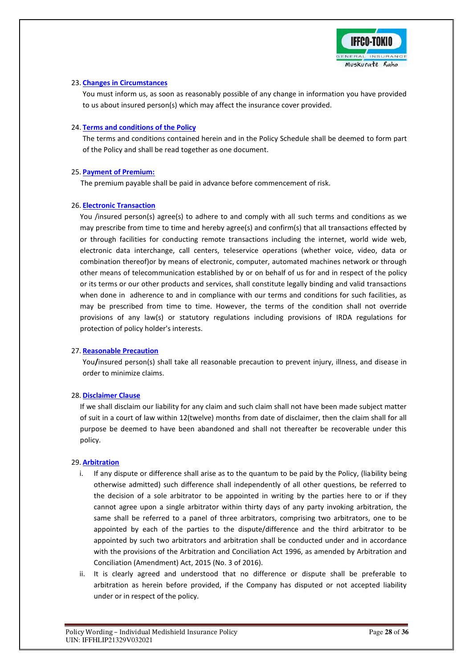

# 23. **Changes in Circumstances**

You must inform us, as soon as reasonably possible of any change in information you have provided to us about insured person(s) which may affect the insurance cover provided.

# 24. **Terms and conditions of the Policy**

The terms and conditions contained herein and in the Policy Schedule shall be deemed to form part of the Policy and shall be read together as one document.

# 25. **Payment of Premium:**

The premium payable shall be paid in advance before commencement of risk.

# 26. **Electronic Transaction**

You /insured person(s) agree(s) to adhere to and comply with all such terms and conditions as we may prescribe from time to time and hereby agree(s) and confirm(s) that all transactions effected by or through facilities for conducting remote transactions including the internet, world wide web, electronic data interchange, call centers, teleservice operations (whether voice, video, data or combination thereof)or by means of electronic, computer, automated machines network or through other means of telecommunication established by or on behalf of us for and in respect of the policy or its terms or our other products and services, shall constitute legally binding and valid transactions when done in adherence to and in compliance with our terms and conditions for such facilities, as may be prescribed from time to time. However, the terms of the condition shall not override provisions of any law(s) or statutory regulations including provisions of IRDA regulations for protection of policy holder's interests.

# 27. **Reasonable Precaution**

You**/**insured person(s) shall take all reasonable precaution to prevent injury, illness, and disease in order to minimize claims.

# 28. **Disclaimer Clause**

If we shall disclaim our liability for any claim and such claim shall not have been made subject matter of suit in a court of law within 12(twelve) months from date of disclaimer, then the claim shall for all purpose be deemed to have been abandoned and shall not thereafter be recoverable under this policy.

# 29. **Arbitration**

- i. If any dispute or difference shall arise as to the quantum to be paid by the Policy, (liability being otherwise admitted) such difference shall independently of all other questions, be referred to the decision of a sole arbitrator to be appointed in writing by the parties here to or if they cannot agree upon a single arbitrator within thirty days of any party invoking arbitration, the same shall be referred to a panel of three arbitrators, comprising two arbitrators, one to be appointed by each of the parties to the dispute/difference and the third arbitrator to be appointed by such two arbitrators and arbitration shall be conducted under and in accordance with the provisions of the Arbitration and Conciliation Act 1996, as amended by Arbitration and Conciliation (Amendment) Act, 2015 (No. 3 of 2016).
- ii. It is clearly agreed and understood that no difference or dispute shall be preferable to arbitration as herein before provided, if the Company has disputed or not accepted liability under or in respect of the policy.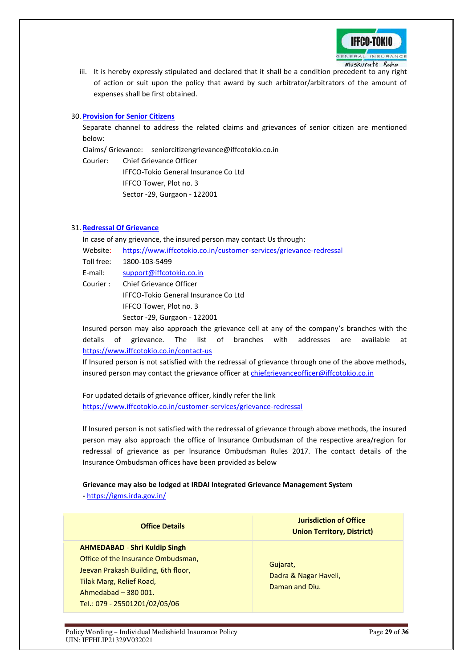

iii. It is hereby expressly stipulated and declared that it shall be a condition precedent to any right of action or suit upon the policy that award by such arbitrator/arbitrators of the amount of expenses shall be first obtained.

# 30. **Provision for Senior Citizens**

Separate channel to address the related claims and grievances of senior citizen are mentioned below:

Claims/ Grievance: seniorcitizengrievance@iffcotokio.co.in

Courier: Chief Grievance Officer IFFCO-Tokio General Insurance Co Ltd IFFCO Tower, Plot no. 3 Sector -29, Gurgaon - 122001

# 31. **Redressal Of Grievance**

In case of any grievance, the insured person may contact Us through:

- Website: <https://www.iffcotokio.co.in/customer-services/grievance-redressal>
- Toll free: 1800-103-5499

E-mail: [support@iffcotokio.co.in](mailto:support@iffcotokio.co.in)

Courier : Chief Grievance Officer IFFCO-Tokio General Insurance Co Ltd IFFCO Tower, Plot no. 3 Sector -29, Gurgaon - 122001

Insured person may also approach the grievance cell at any of the company's branches with the details of grievance. The list of branches with addresses are available at <https://www.iffcotokio.co.in/contact-us>

If Insured person is not satisfied with the redressal of grievance through one of the above methods, insured person may contact the grievance officer at [chiefgrievanceofficer@iffcotokio.co.in](mailto:chiefgrievanceofficer@iffcotokio.co.in)

For updated details of grievance officer, kindly refer the link <https://www.iffcotokio.co.in/customer-services/grievance-redressal>

lf lnsured person is not satisfied with the redressal of grievance through above methods, the insured person may also approach the office of lnsurance Ombudsman of the respective area/region for redressal of grievance as per lnsurance Ombudsman Rules 2017. The contact details of the Insurance Ombudsman offices have been provided as below

#### **Grievance may also be lodged at IRDAI lntegrated Grievance Management System**

**-** <https://igms.irda.gov.in/>

# **Office Details**

# **AHMEDABAD** - **Shri Kuldip Singh**

Office of the Insurance Ombudsman, Jeevan Prakash Building, 6th floor, Tilak Marg, Relief Road, Ahmedabad – 380 001. Tel.: 079 - 25501201/02/05/06

**Jurisdiction of Office Union Territory, District)** 

Gujarat, Dadra & Nagar Haveli, Daman and Diu.

Policy Wording – Individual Medishield Insurance Policy **Page 29** of 36 UIN: IFFHLIP21329V032021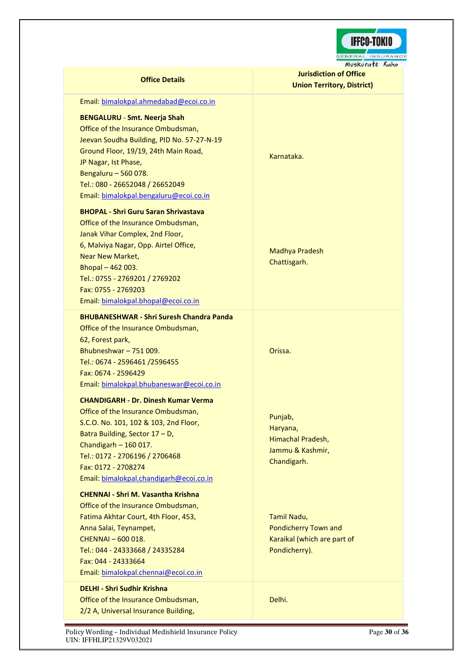

| Muskurate Rah                                                                                                                                                                                                                                                                                                  |                                                                                            |  |
|----------------------------------------------------------------------------------------------------------------------------------------------------------------------------------------------------------------------------------------------------------------------------------------------------------------|--------------------------------------------------------------------------------------------|--|
| <b>Office Details</b>                                                                                                                                                                                                                                                                                          | <b>Jurisdiction of Office</b>                                                              |  |
|                                                                                                                                                                                                                                                                                                                | <b>Union Territory, District)</b>                                                          |  |
| Email: bimalokpal.ahmedabad@ecoi.co.in                                                                                                                                                                                                                                                                         |                                                                                            |  |
| <b>BENGALURU - Smt. Neerja Shah</b><br>Office of the Insurance Ombudsman,<br>Jeevan Soudha Building, PID No. 57-27-N-19<br>Ground Floor, 19/19, 24th Main Road,<br>JP Nagar, Ist Phase,<br>Bengaluru - 560 078.<br>Tel.: 080 - 26652048 / 26652049                                                             | Karnataka.                                                                                 |  |
| Email: bimalokpal.bengaluru@ecoi.co.in                                                                                                                                                                                                                                                                         |                                                                                            |  |
| <b>BHOPAL - Shri Guru Saran Shrivastava</b><br>Office of the Insurance Ombudsman,<br>Janak Vihar Complex, 2nd Floor,<br>6, Malviya Nagar, Opp. Airtel Office,<br><b>Near New Market,</b><br>Bhopal $-462003$ .<br>Tel.: 0755 - 2769201 / 2769202<br>Fax: 0755 - 2769203<br>Email: bimalokpal.bhopal@ecoi.co.in | <b>Madhya Pradesh</b><br>Chattisgarh.                                                      |  |
| <b>BHUBANESHWAR - Shri Suresh Chandra Panda</b>                                                                                                                                                                                                                                                                |                                                                                            |  |
| Office of the Insurance Ombudsman,                                                                                                                                                                                                                                                                             |                                                                                            |  |
| 62, Forest park,<br>Bhubneshwar-751009.                                                                                                                                                                                                                                                                        | Orissa.                                                                                    |  |
| Tel.: 0674 - 2596461 /2596455                                                                                                                                                                                                                                                                                  |                                                                                            |  |
| Fax: 0674 - 2596429                                                                                                                                                                                                                                                                                            |                                                                                            |  |
| Email: bimalokpal.bhubaneswar@ecoi.co.in                                                                                                                                                                                                                                                                       |                                                                                            |  |
|                                                                                                                                                                                                                                                                                                                |                                                                                            |  |
| <b>CHANDIGARH - Dr. Dinesh Kumar Verma</b><br>Office of the Insurance Ombudsman,<br>S.C.O. No. 101, 102 & 103, 2nd Floor,<br>Batra Building, Sector 17 - D,<br>Chandigarh $-160017$ .<br>Tel.: 0172 - 2706196 / 2706468<br>Fax: 0172 - 2708274<br>Email: bimalokpal.chandigarh@ecoi.co.in                      | Punjab,<br>Haryana,<br>Himachal Pradesh,<br>Jammu & Kashmir,<br>Chandigarh.                |  |
| <b>CHENNAI - Shri M. Vasantha Krishna</b>                                                                                                                                                                                                                                                                      |                                                                                            |  |
| Office of the Insurance Ombudsman,<br>Fatima Akhtar Court, 4th Floor, 453,<br>Anna Salai, Teynampet,<br>CHENNAI - 600 018.<br>Tel.: 044 - 24333668 / 24335284<br>Fax: 044 - 24333664<br>Email: bimalokpal.chennai@ecoi.co.in                                                                                   | Tamil Nadu,<br><b>Pondicherry Town and</b><br>Karaikal (which are part of<br>Pondicherry). |  |
| <b>DELHI - Shri Sudhir Krishna</b>                                                                                                                                                                                                                                                                             |                                                                                            |  |
| Office of the Insurance Ombudsman,<br>2/2 A, Universal Insurance Building,                                                                                                                                                                                                                                     | Delhi.                                                                                     |  |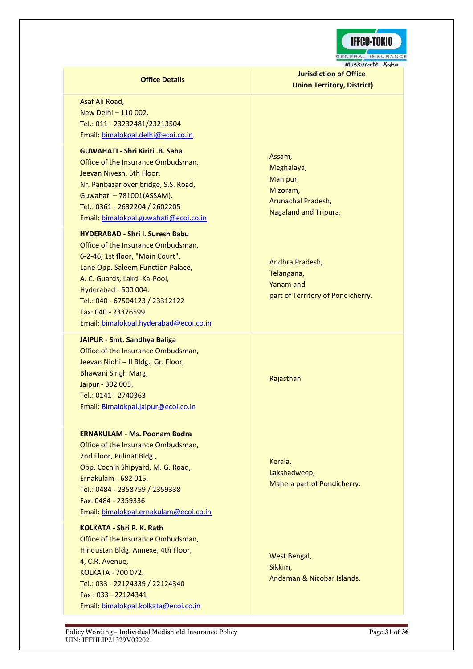

**Jurisdiction of Office Union Territory, District)** 

# **Office Details**

Asaf Ali Road, New Delhi – 110 002. Tel.: 011 - 23232481/23213504 Email: [bimalokpal.delhi@ecoi.co.in](mailto:bimalokpal.delhi@ecoi.co.in)

**GUWAHATI - Shri Kiriti .B. Saha**  Office of the Insurance Ombudsman, Jeevan Nivesh, 5th Floor, Nr. Panbazar over bridge, S.S. Road, Guwahati – 781001(ASSAM). Tel.: 0361 - 2632204 / 2602205 Email: [bimalokpal.guwahati@ecoi.co.in](mailto:bimalokpal.guwahati@ecoi.co.in)

#### **HYDERABAD - Shri I. Suresh Babu**

Office of the Insurance Ombudsman, 6-2-46, 1st floor, "Moin Court", Lane Opp. Saleem Function Palace, A. C. Guards, Lakdi-Ka-Pool, Hyderabad - 500 004. Tel.: 040 - 67504123 / 23312122 Fax: 040 - 23376599 Email: [bimalokpal.hyderabad@ecoi.co.in](mailto:bimalokpal.hyderabad@ecoi.co.in)

#### **JAIPUR - Smt. Sandhya Baliga**

Office of the Insurance Ombudsman, Jeevan Nidhi – II Bldg., Gr. Floor, Bhawani Singh Marg, Jaipur - 302 005. Tel.: 0141 - 2740363 Email: [Bimalokpal.jaipur@ecoi.co.in](mailto:bimalokpal.jaipur@ecoi.co.in)

# **ERNAKULAM - Ms. Poonam Bodra**

Office of the Insurance Ombudsman, 2nd Floor, Pulinat Bldg., Opp. Cochin Shipyard, M. G. Road, Ernakulam - 682 015. Tel.: 0484 - 2358759 / 2359338 Fax: 0484 - 2359336 Email: [bimalokpal.ernakulam@ecoi.co.in](mailto:bimalokpal.ernakulam@ecoi.co.in)

#### **KOLKATA - Shri P. K. Rath**

Office of the Insurance Ombudsman, Hindustan Bldg. Annexe, 4th Floor, 4, C.R. Avenue, KOLKATA - 700 072. Tel.: 033 - 22124339 / 22124340 Fax : 033 - 22124341 Email: [bimalokpal.kolkata@ecoi.co.in](mailto:bimalokpal.kolkata@ecoi.co.in) Assam, Meghalaya, Manipur, Mizoram, Arunachal Pradesh, Nagaland and Tripura.

Andhra Pradesh, Telangana, Yanam and part of Territory of Pondicherry.

Rajasthan.

Kerala, Lakshadweep, Mahe-a part of Pondicherry.

West Bengal, Sikkim, Andaman & Nicobar Islands.

Policy Wording – Individual Medishield Insurance Policy **Page 11** of **36** Page 31 of 36 UIN: IFFHLIP21329V032021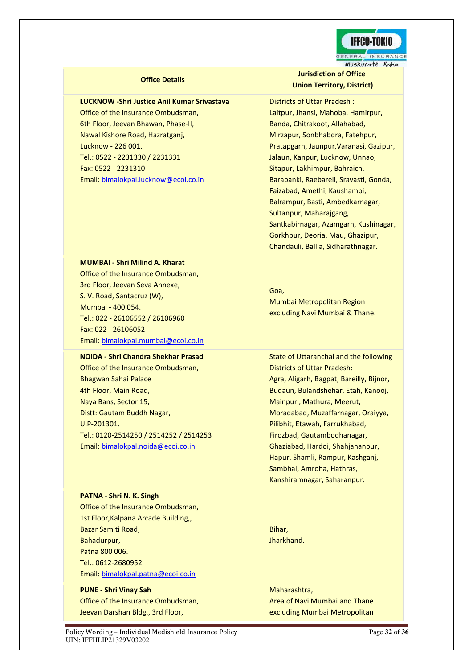

#### **Office Details**

# **LUCKNOW -Shri Justice Anil Kumar Srivastava**

Office of the Insurance Ombudsman, 6th Floor, Jeevan Bhawan, Phase-II, Nawal Kishore Road, Hazratganj, Lucknow - 226 001. Tel.: 0522 - 2231330 / 2231331 Fax: 0522 - 2231310 Email: [bimalokpal.lucknow@ecoi.co.in](mailto:bimalokpal.lucknow@ecoi.co.in)

#### **MUMBAI - Shri Milind A. Kharat**

Office of the Insurance Ombudsman, 3rd Floor, Jeevan Seva Annexe, S. V. Road, Santacruz (W), Mumbai - 400 054. Tel.: 022 - 26106552 / 26106960 Fax: 022 - 26106052 Email: [bimalokpal.mumbai@ecoi.co.in](mailto:bimalokpal.mumbai@ecoi.co.in) 

#### **NOIDA - Shri Chandra Shekhar Prasad**

Office of the Insurance Ombudsman, Bhagwan Sahai Palace 4th Floor, Main Road, Naya Bans, Sector 15, Distt: Gautam Buddh Nagar, U.P-201301. Tel.: 0120-2514250 / 2514252 / 2514253 Email: [bimalokpal.noida@ecoi.co.in](mailto:bimalokpal.noida@ecoi.co.in) 

# **PATNA - Shri N. K. Singh**

Office of the Insurance Ombudsman, 1st Floor,Kalpana Arcade Building,, Bazar Samiti Road, Bahadurpur, Patna 800 006. Tel.: 0612-2680952 Email: [bimalokpal.patna@ecoi.co.in](mailto:bimalokpal.patna@ecoi.co.in%20.) 

**PUNE - Shri Vinay Sah** Office of the Insurance Ombudsman, Jeevan Darshan Bldg., 3rd Floor,

**Jurisdiction of Office Union Territory, District)** 

Districts of Uttar Pradesh : Laitpur, Jhansi, Mahoba, Hamirpur, Banda, Chitrakoot, Allahabad, Mirzapur, Sonbhabdra, Fatehpur, Pratapgarh, Jaunpur,Varanasi, Gazipur, Jalaun, Kanpur, Lucknow, Unnao, Sitapur, Lakhimpur, Bahraich, Barabanki, Raebareli, Sravasti, Gonda, Faizabad, Amethi, Kaushambi, Balrampur, Basti, Ambedkarnagar, Sultanpur, Maharajgang, Santkabirnagar, Azamgarh, Kushinagar, Gorkhpur, Deoria, Mau, Ghazipur, Chandauli, Ballia, Sidharathnagar.

Goa, Mumbai Metropolitan Region excluding Navi Mumbai & Thane.

State of Uttaranchal and the following Districts of Uttar Pradesh: Agra, Aligarh, Bagpat, Bareilly, Bijnor, Budaun, Bulandshehar, Etah, Kanooj, Mainpuri, Mathura, Meerut, Moradabad, Muzaffarnagar, Oraiyya, Pilibhit, Etawah, Farrukhabad, Firozbad, Gautambodhanagar, Ghaziabad, Hardoi, Shahjahanpur, Hapur, Shamli, Rampur, Kashganj, Sambhal, Amroha, Hathras, Kanshiramnagar, Saharanpur.

Bihar, Jharkhand.

Maharashtra, Area of Navi Mumbai and Thane excluding Mumbai Metropolitan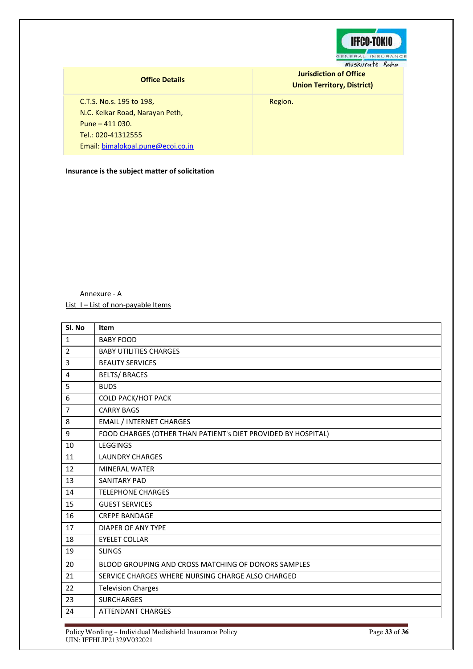

# **Office Details**

**Jurisdiction of Office Union Territory, District)** 

Region.

C.T.S. No.s. 195 to 198, N.C. Kelkar Road, Narayan Peth, Pune – 411 030. Tel.: 020-41312555 Email: [bimalokpal.pune@ecoi.co.in](mailto:bimalokpal.pune@ecoi.co.in) 

**Insurance is the subject matter of solicitation** 

# Annexure - A List I - List of non-payable Items

| Sl. No         | Item                                                          |
|----------------|---------------------------------------------------------------|
| $\mathbf{1}$   | <b>BABY FOOD</b>                                              |
| $\overline{2}$ | <b>BABY UTILITIES CHARGES</b>                                 |
| 3              | <b>BEAUTY SERVICES</b>                                        |
| 4              | <b>BELTS/ BRACES</b>                                          |
| 5              | <b>BUDS</b>                                                   |
| 6              | <b>COLD PACK/HOT PACK</b>                                     |
| $\overline{7}$ | <b>CARRY BAGS</b>                                             |
| 8              | <b>EMAIL / INTERNET CHARGES</b>                               |
| 9              | FOOD CHARGES (OTHER THAN PATIENT's DIET PROVIDED BY HOSPITAL) |
| 10             | <b>LEGGINGS</b>                                               |
| 11             | <b>LAUNDRY CHARGES</b>                                        |
| 12             | MINERAL WATER                                                 |
| 13             | <b>SANITARY PAD</b>                                           |
| 14             | <b>TELEPHONE CHARGES</b>                                      |
| 15             | <b>GUEST SERVICES</b>                                         |
| 16             | <b>CREPE BANDAGE</b>                                          |
| 17             | DIAPER OF ANY TYPE                                            |
| 18             | <b>EYELET COLLAR</b>                                          |
| 19             | <b>SLINGS</b>                                                 |
| 20             | BLOOD GROUPING AND CROSS MATCHING OF DONORS SAMPLES           |
| 21             | SERVICE CHARGES WHERE NURSING CHARGE ALSO CHARGED             |
| 22             | <b>Television Charges</b>                                     |
| 23             | <b>SURCHARGES</b>                                             |
| 24             | <b>ATTENDANT CHARGES</b>                                      |

Policy Wording – Individual Medishield Insurance Policy **Page 33** of **36** UIN: IFFHLIP21329V032021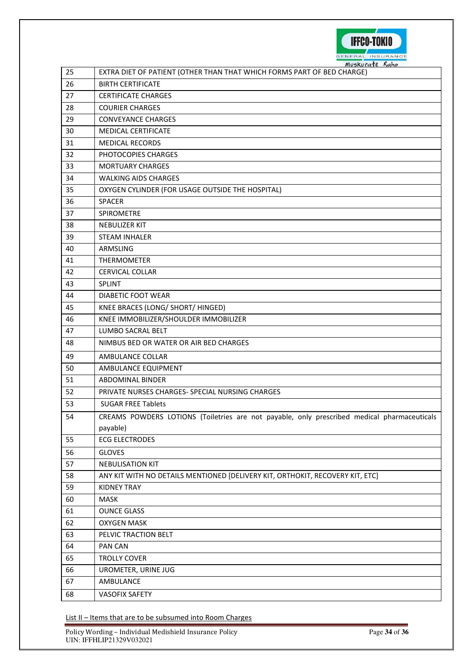

|    | Muskurate Kaho                                                                              |
|----|---------------------------------------------------------------------------------------------|
| 25 | EXTRA DIET OF PATIENT (OTHER THAN THAT WHICH FORMS PART OF BED CHARGE)                      |
| 26 | <b>BIRTH CERTIFICATE</b>                                                                    |
| 27 | <b>CERTIFICATE CHARGES</b>                                                                  |
| 28 | <b>COURIER CHARGES</b>                                                                      |
| 29 | <b>CONVEYANCE CHARGES</b>                                                                   |
| 30 | MEDICAL CERTIFICATE                                                                         |
| 31 | <b>MEDICAL RECORDS</b>                                                                      |
| 32 | PHOTOCOPIES CHARGES                                                                         |
| 33 | <b>MORTUARY CHARGES</b>                                                                     |
| 34 | <b>WALKING AIDS CHARGES</b>                                                                 |
| 35 | OXYGEN CYLINDER (FOR USAGE OUTSIDE THE HOSPITAL)                                            |
| 36 | <b>SPACER</b>                                                                               |
| 37 | SPIROMETRE                                                                                  |
| 38 | <b>NEBULIZER KIT</b>                                                                        |
| 39 | <b>STEAM INHALER</b>                                                                        |
| 40 | ARMSLING                                                                                    |
| 41 | <b>THERMOMETER</b>                                                                          |
| 42 | <b>CERVICAL COLLAR</b>                                                                      |
| 43 | <b>SPLINT</b>                                                                               |
| 44 | DIABETIC FOOT WEAR                                                                          |
| 45 | KNEE BRACES (LONG/ SHORT/ HINGED)                                                           |
| 46 | KNEE IMMOBILIZER/SHOULDER IMMOBILIZER                                                       |
| 47 | LUMBO SACRAL BELT                                                                           |
| 48 | NIMBUS BED OR WATER OR AIR BED CHARGES                                                      |
| 49 | AMBULANCE COLLAR                                                                            |
| 50 | AMBULANCE EQUIPMENT                                                                         |
| 51 | <b>ABDOMINAL BINDER</b>                                                                     |
| 52 | PRIVATE NURSES CHARGES- SPECIAL NURSING CHARGES                                             |
| 53 | <b>SUGAR FREE Tablets</b>                                                                   |
| 54 | CREAMS POWDERS LOTIONS (Toiletries are not payable, only prescribed medical pharmaceuticals |
|    | payable)                                                                                    |
| 55 | <b>ECG ELECTRODES</b>                                                                       |
| 56 | <b>GLOVES</b>                                                                               |
| 57 | <b>NEBULISATION KIT</b>                                                                     |
| 58 | ANY KIT WITH NO DETAILS MENTIONED [DELIVERY KIT, ORTHOKIT, RECOVERY KIT, ETC]               |
| 59 | <b>KIDNEY TRAY</b>                                                                          |
| 60 | <b>MASK</b>                                                                                 |
| 61 | <b>OUNCE GLASS</b>                                                                          |
| 62 | <b>OXYGEN MASK</b>                                                                          |
| 63 | PELVIC TRACTION BELT                                                                        |
| 64 | <b>PAN CAN</b>                                                                              |
| 65 | <b>TROLLY COVER</b>                                                                         |
| 66 | UROMETER, URINE JUG                                                                         |
| 67 | AMBULANCE                                                                                   |
| 68 | <b>VASOFIX SAFETY</b>                                                                       |
|    |                                                                                             |

List II - Items that are to be subsumed into Room Charges

Policy Wording – Individual Medishield Insurance Policy **Page 12** of **36** Page 34 of **36** UIN: IFFHLIP21329V032021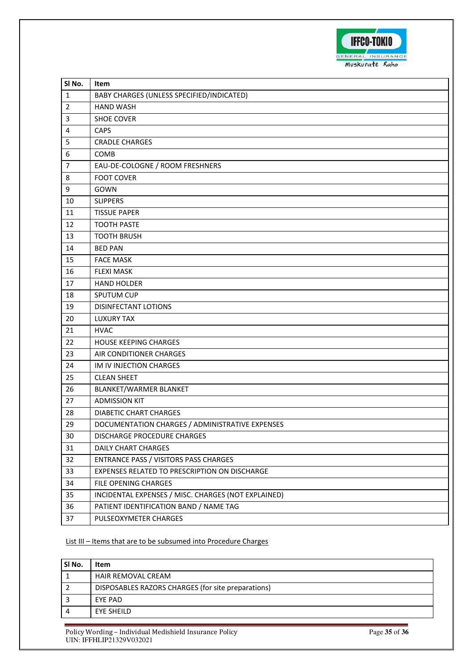

| SINo.          | Item                                                |
|----------------|-----------------------------------------------------|
| 1              | BABY CHARGES (UNLESS SPECIFIED/INDICATED)           |
| $\overline{2}$ | <b>HAND WASH</b>                                    |
| 3              | <b>SHOE COVER</b>                                   |
| 4              | <b>CAPS</b>                                         |
| 5              | <b>CRADLE CHARGES</b>                               |
| 6              | COMB                                                |
| $\overline{7}$ | EAU-DE-COLOGNE / ROOM FRESHNERS                     |
| 8              | <b>FOOT COVER</b>                                   |
| 9              | GOWN                                                |
| 10             | <b>SLIPPERS</b>                                     |
| 11             | <b>TISSUE PAPER</b>                                 |
| 12             | <b>TOOTH PASTE</b>                                  |
| 13             | <b>TOOTH BRUSH</b>                                  |
| 14             | <b>BED PAN</b>                                      |
| 15             | <b>FACE MASK</b>                                    |
| 16             | <b>FLEXI MASK</b>                                   |
| 17             | <b>HAND HOLDER</b>                                  |
| 18             | SPUTUM CUP                                          |
| 19             | DISINFECTANT LOTIONS                                |
| 20             | <b>LUXURY TAX</b>                                   |
| 21             | <b>HVAC</b>                                         |
| 22             | <b>HOUSE KEEPING CHARGES</b>                        |
| 23             | AIR CONDITIONER CHARGES                             |
| 24             | IM IV INJECTION CHARGES                             |
| 25             | <b>CLEAN SHEET</b>                                  |
| 26             | BLANKET/WARMER BLANKET                              |
| 27             | <b>ADMISSION KIT</b>                                |
| 28             | DIABETIC CHART CHARGES                              |
| 29             | DOCUMENTATION CHARGES / ADMINISTRATIVE EXPENSES     |
| 30             | DISCHARGE PROCEDURE CHARGES                         |
| 31             | <b>DAILY CHART CHARGES</b>                          |
| 32             | ENTRANCE PASS / VISITORS PASS CHARGES               |
| 33             | EXPENSES RELATED TO PRESCRIPTION ON DISCHARGE       |
| 34             | FILE OPENING CHARGES                                |
| 35             | INCIDENTAL EXPENSES / MISC. CHARGES (NOT EXPLAINED) |
| 36             | PATIENT IDENTIFICATION BAND / NAME TAG              |
| 37             | PULSEOXYMETER CHARGES                               |

# List III - Items that are to be subsumed into Procedure Charges

| SI No. | Item                                               |
|--------|----------------------------------------------------|
|        | <b>HAIR REMOVAL CREAM</b>                          |
|        | DISPOSABLES RAZORS CHARGES (for site preparations) |
|        | <b>FYF PAD</b>                                     |
|        | EYE SHEILD                                         |